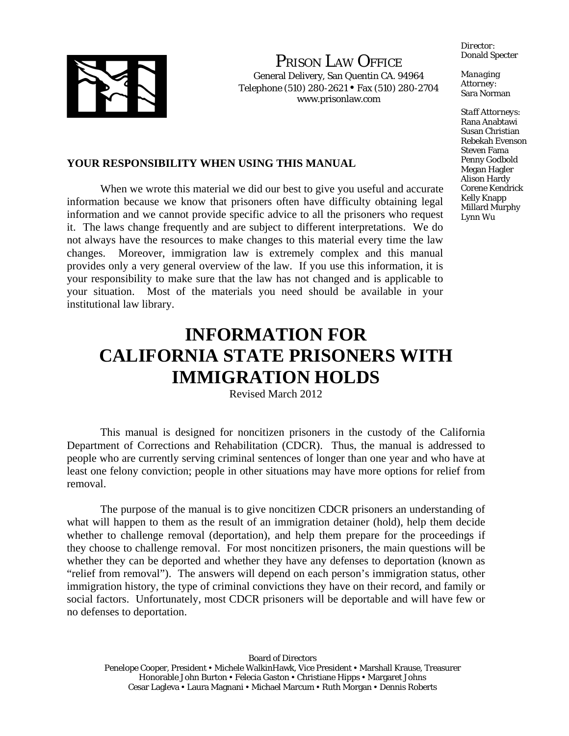

PRISON LAW OFFICE

General Delivery, San Quentin CA. 94964 Telephone (510) 280-2621 Fax (510) 280-2704 www.prisonlaw.com

*Director:* Donald Specter

*Managing Attorney:* Sara Norman

*Staff Attorneys:*  Rana Anabtawi Susan Christian Rebekah Evenson Steven Fama Penny Godbold Megan Hagler Alison Hardy Corene Kendrick Kelly Knapp Millard Murphy Lynn Wu

# **YOUR RESPONSIBILITY WHEN USING THIS MANUAL**

 When we wrote this material we did our best to give you useful and accurate information because we know that prisoners often have difficulty obtaining legal information and we cannot provide specific advice to all the prisoners who request it. The laws change frequently and are subject to different interpretations. We do not always have the resources to make changes to this material every time the law changes. Moreover, immigration law is extremely complex and this manual provides only a very general overview of the law. If you use this information, it is your responsibility to make sure that the law has not changed and is applicable to your situation. Most of the materials you need should be available in your institutional law library.

# **INFORMATION FOR CALIFORNIA STATE PRISONERS WITH IMMIGRATION HOLDS**

Revised March 2012

 This manual is designed for noncitizen prisoners in the custody of the California Department of Corrections and Rehabilitation (CDCR). Thus, the manual is addressed to people who are currently serving criminal sentences of longer than one year and who have at least one felony conviction; people in other situations may have more options for relief from removal.

 The purpose of the manual is to give noncitizen CDCR prisoners an understanding of what will happen to them as the result of an immigration detainer (hold), help them decide whether to challenge removal (deportation), and help them prepare for the proceedings if they choose to challenge removal. For most noncitizen prisoners, the main questions will be whether they can be deported and whether they have any defenses to deportation (known as "relief from removal"). The answers will depend on each person's immigration status, other immigration history, the type of criminal convictions they have on their record, and family or social factors. Unfortunately, most CDCR prisoners will be deportable and will have few or no defenses to deportation.

Board of Directors Penelope Cooper, President • Michele WalkinHawk, Vice President • Marshall Krause, Treasurer Honorable John Burton • Felecia Gaston • Christiane Hipps • Margaret Johns Cesar Lagleva • Laura Magnani • Michael Marcum • Ruth Morgan • Dennis Roberts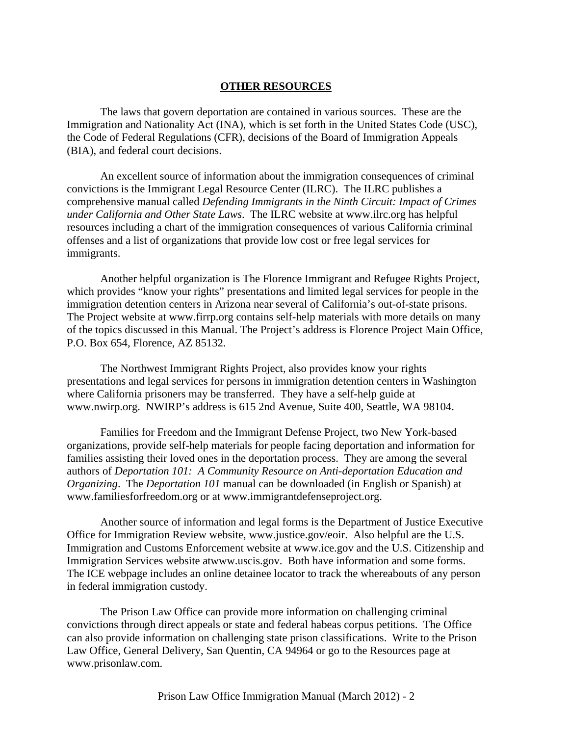#### **OTHER RESOURCES**

 The laws that govern deportation are contained in various sources. These are the Immigration and Nationality Act (INA), which is set forth in the United States Code (USC), the Code of Federal Regulations (CFR), decisions of the Board of Immigration Appeals (BIA), and federal court decisions.

 An excellent source of information about the immigration consequences of criminal convictions is the Immigrant Legal Resource Center (ILRC). The ILRC publishes a comprehensive manual called *Defending Immigrants in the Ninth Circuit: Impact of Crimes under California and Other State Laws*. The ILRC website at www.ilrc.org has helpful resources including a chart of the immigration consequences of various California criminal offenses and a list of organizations that provide low cost or free legal services for immigrants.

 Another helpful organization is The Florence Immigrant and Refugee Rights Project, which provides "know your rights" presentations and limited legal services for people in the immigration detention centers in Arizona near several of California's out-of-state prisons. The Project website at www.firrp.org contains self-help materials with more details on many of the topics discussed in this Manual. The Project's address is Florence Project Main Office, P.O. Box 654, Florence, AZ 85132.

 The Northwest Immigrant Rights Project, also provides know your rights presentations and legal services for persons in immigration detention centers in Washington where California prisoners may be transferred. They have a self-help guide at www.nwirp.org. NWIRP's address is 615 2nd Avenue, Suite 400, Seattle, WA 98104.

 Families for Freedom and the Immigrant Defense Project, two New York-based organizations, provide self-help materials for people facing deportation and information for families assisting their loved ones in the deportation process. They are among the several authors of *Deportation 101: A Community Resource on Anti-deportation Education and Organizing*. The *Deportation 101* manual can be downloaded (in English or Spanish) at www.familiesforfreedom.org or at www.immigrantdefenseproject.org.

 Another source of information and legal forms is the Department of Justice Executive Office for Immigration Review website, www.justice.gov/eoir. Also helpful are the U.S. Immigration and Customs Enforcement website at www.ice.gov and the U.S. Citizenship and Immigration Services website atwww.uscis.gov. Both have information and some forms. The ICE webpage includes an online detainee locator to track the whereabouts of any person in federal immigration custody.

 The Prison Law Office can provide more information on challenging criminal convictions through direct appeals or state and federal habeas corpus petitions. The Office can also provide information on challenging state prison classifications. Write to the Prison Law Office, General Delivery, San Quentin, CA 94964 or go to the Resources page at www.prisonlaw.com.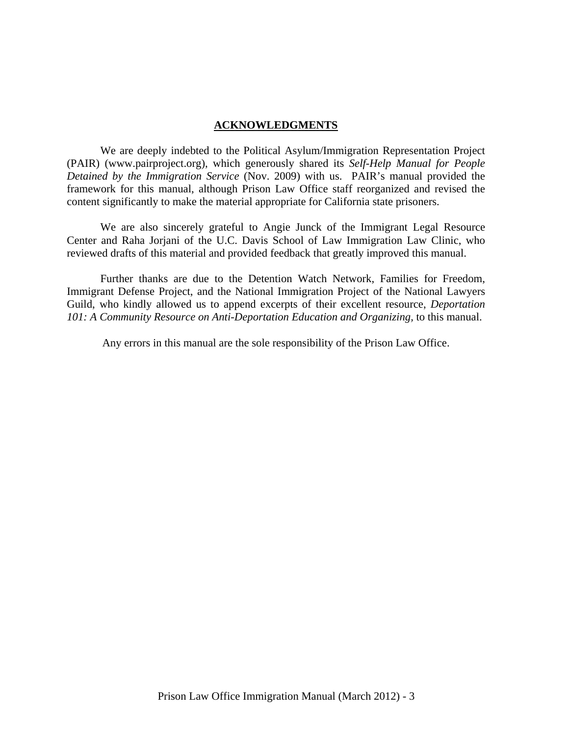#### **ACKNOWLEDGMENTS**

 We are deeply indebted to the Political Asylum/Immigration Representation Project (PAIR) (www.pairproject.org), which generously shared its *Self-Help Manual for People Detained by the Immigration Service* (Nov. 2009) with us. PAIR's manual provided the framework for this manual, although Prison Law Office staff reorganized and revised the content significantly to make the material appropriate for California state prisoners.

 We are also sincerely grateful to Angie Junck of the Immigrant Legal Resource Center and Raha Jorjani of the U.C. Davis School of Law Immigration Law Clinic, who reviewed drafts of this material and provided feedback that greatly improved this manual.

 Further thanks are due to the Detention Watch Network, Families for Freedom, Immigrant Defense Project, and the National Immigration Project of the National Lawyers Guild, who kindly allowed us to append excerpts of their excellent resource, *Deportation*  101: A Community Resource on Anti-Deportation Education and Organizing, to this manual.

Any errors in this manual are the sole responsibility of the Prison Law Office.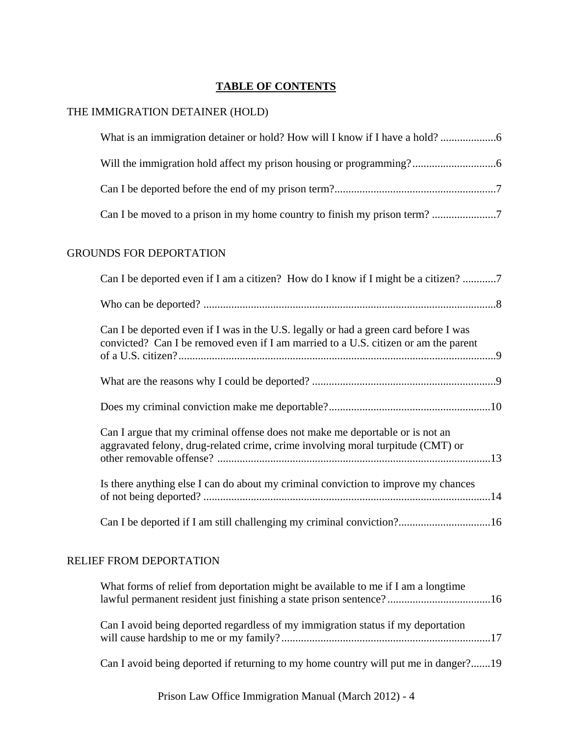# **TABLE OF CONTENTS**

## THE IMMIGRATION DETAINER (HOLD)

## GROUNDS FOR DEPORTATION

| Can I be deported even if I am a citizen? How do I know if I might be a citizen? 7                                                                                          |  |
|-----------------------------------------------------------------------------------------------------------------------------------------------------------------------------|--|
|                                                                                                                                                                             |  |
| Can I be deported even if I was in the U.S. legally or had a green card before I was<br>convicted? Can I be removed even if I am married to a U.S. citizen or am the parent |  |
|                                                                                                                                                                             |  |
|                                                                                                                                                                             |  |
| Can I argue that my criminal offense does not make me deportable or is not an<br>aggravated felony, drug-related crime, crime involving moral turpitude (CMT) or            |  |
| Is there anything else I can do about my criminal conviction to improve my chances                                                                                          |  |
|                                                                                                                                                                             |  |

# RELIEF FROM DEPORTATION

| What forms of relief from deportation might be available to me if I am a longtime   |  |
|-------------------------------------------------------------------------------------|--|
| Can I avoid being deported regardless of my immigration status if my deportation    |  |
| Can I avoid being deported if returning to my home country will put me in danger?19 |  |

Prison Law Office Immigration Manual (March 2012) - 4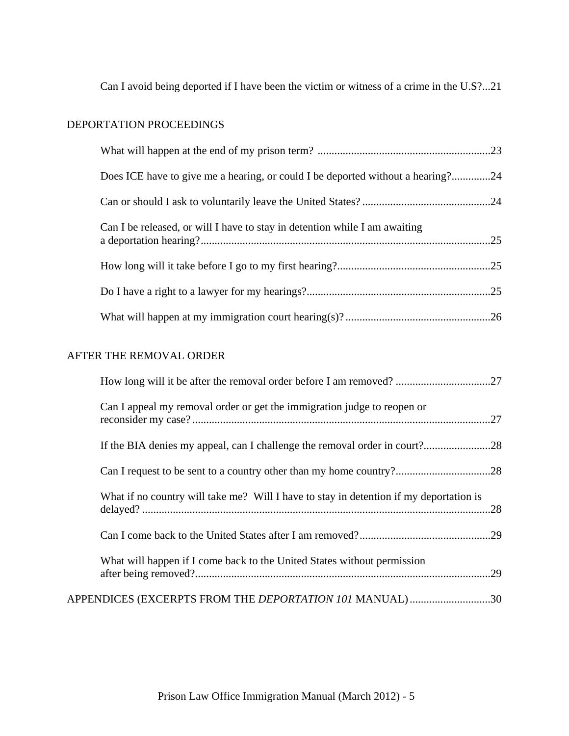Can I avoid being deported if I have been the victim or witness of a crime in the U.S?...21

# DEPORTATION PROCEEDINGS

| Does ICE have to give me a hearing, or could I be deported without a hearing?24 |  |
|---------------------------------------------------------------------------------|--|
|                                                                                 |  |
| Can I be released, or will I have to stay in detention while I am awaiting      |  |
|                                                                                 |  |
|                                                                                 |  |
|                                                                                 |  |

# AFTER THE REMOVAL ORDER

| How long will it be after the removal order before I am removed? 27                    |  |
|----------------------------------------------------------------------------------------|--|
| Can I appeal my removal order or get the immigration judge to reopen or                |  |
|                                                                                        |  |
|                                                                                        |  |
| What if no country will take me? Will I have to stay in detention if my deportation is |  |
|                                                                                        |  |
| What will happen if I come back to the United States without permission                |  |
| APPENDICES (EXCERPTS FROM THE <i>DEPORTATION 101</i> MANUAL)30                         |  |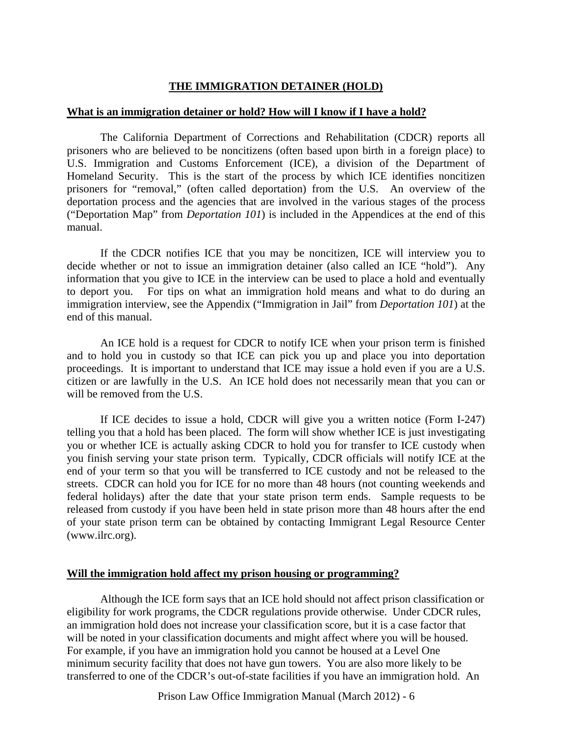# **THE IMMIGRATION DETAINER (HOLD)**

## **What is an immigration detainer or hold? How will I know if I have a hold?**

 The California Department of Corrections and Rehabilitation (CDCR) reports all prisoners who are believed to be noncitizens (often based upon birth in a foreign place) to U.S. Immigration and Customs Enforcement (ICE), a division of the Department of Homeland Security. This is the start of the process by which ICE identifies noncitizen prisoners for "removal," (often called deportation) from the U.S. An overview of the deportation process and the agencies that are involved in the various stages of the process ("Deportation Map" from *Deportation 101*) is included in the Appendices at the end of this manual.

 If the CDCR notifies ICE that you may be noncitizen, ICE will interview you to decide whether or not to issue an immigration detainer (also called an ICE "hold"). Any information that you give to ICE in the interview can be used to place a hold and eventually to deport you. For tips on what an immigration hold means and what to do during an immigration interview, see the Appendix ("Immigration in Jail" from *Deportation 101*) at the end of this manual.

 An ICE hold is a request for CDCR to notify ICE when your prison term is finished and to hold you in custody so that ICE can pick you up and place you into deportation proceedings. It is important to understand that ICE may issue a hold even if you are a U.S. citizen or are lawfully in the U.S. An ICE hold does not necessarily mean that you can or will be removed from the U.S.

 If ICE decides to issue a hold, CDCR will give you a written notice (Form I-247) telling you that a hold has been placed. The form will show whether ICE is just investigating you or whether ICE is actually asking CDCR to hold you for transfer to ICE custody when you finish serving your state prison term. Typically, CDCR officials will notify ICE at the end of your term so that you will be transferred to ICE custody and not be released to the streets. CDCR can hold you for ICE for no more than 48 hours (not counting weekends and federal holidays) after the date that your state prison term ends. Sample requests to be released from custody if you have been held in state prison more than 48 hours after the end of your state prison term can be obtained by contacting Immigrant Legal Resource Center (www.ilrc.org).

## **Will the immigration hold affect my prison housing or programming?**

 Although the ICE form says that an ICE hold should not affect prison classification or eligibility for work programs, the CDCR regulations provide otherwise. Under CDCR rules, an immigration hold does not increase your classification score, but it is a case factor that will be noted in your classification documents and might affect where you will be housed. For example, if you have an immigration hold you cannot be housed at a Level One minimum security facility that does not have gun towers. You are also more likely to be transferred to one of the CDCR's out-of-state facilities if you have an immigration hold. An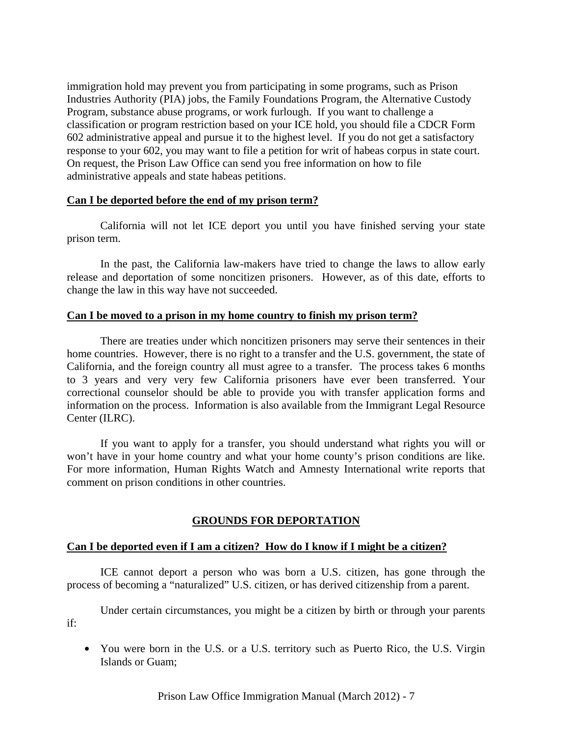immigration hold may prevent you from participating in some programs, such as Prison Industries Authority (PIA) jobs, the Family Foundations Program, the Alternative Custody Program, substance abuse programs, or work furlough. If you want to challenge a classification or program restriction based on your ICE hold, you should file a CDCR Form 602 administrative appeal and pursue it to the highest level. If you do not get a satisfactory response to your 602, you may want to file a petition for writ of habeas corpus in state court. On request, the Prison Law Office can send you free information on how to file administrative appeals and state habeas petitions.

## **Can I be deported before the end of my prison term?**

 California will not let ICE deport you until you have finished serving your state prison term.

 In the past, the California law-makers have tried to change the laws to allow early release and deportation of some noncitizen prisoners. However, as of this date, efforts to change the law in this way have not succeeded.

#### **Can I be moved to a prison in my home country to finish my prison term?**

 There are treaties under which noncitizen prisoners may serve their sentences in their home countries. However, there is no right to a transfer and the U.S. government, the state of California, and the foreign country all must agree to a transfer. The process takes 6 months to 3 years and very very few California prisoners have ever been transferred. Your correctional counselor should be able to provide you with transfer application forms and information on the process. Information is also available from the Immigrant Legal Resource Center (ILRC).

 If you want to apply for a transfer, you should understand what rights you will or won't have in your home country and what your home county's prison conditions are like. For more information, Human Rights Watch and Amnesty International write reports that comment on prison conditions in other countries.

## **GROUNDS FOR DEPORTATION**

## **Can I be deported even if I am a citizen? How do I know if I might be a citizen?**

 ICE cannot deport a person who was born a U.S. citizen, has gone through the process of becoming a "naturalized" U.S. citizen, or has derived citizenship from a parent.

 Under certain circumstances, you might be a citizen by birth or through your parents if:

• You were born in the U.S. or a U.S. territory such as Puerto Rico, the U.S. Virgin Islands or Guam;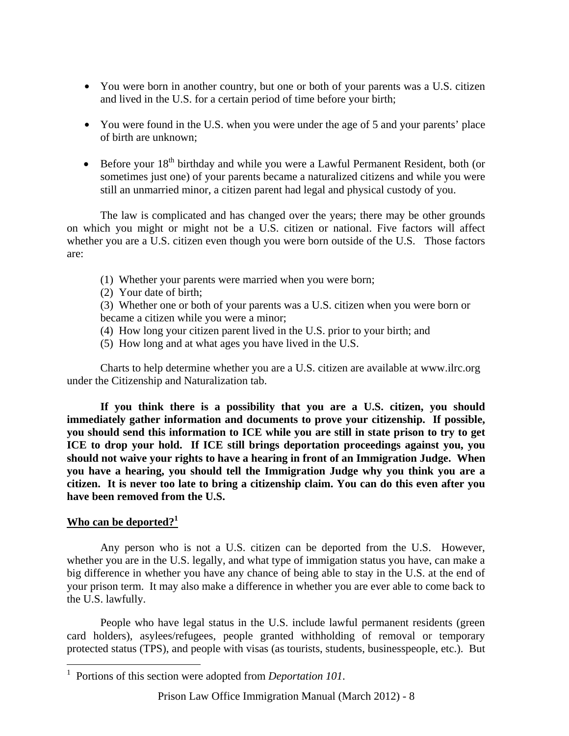- You were born in another country, but one or both of your parents was a U.S. citizen and lived in the U.S. for a certain period of time before your birth;
- You were found in the U.S. when you were under the age of 5 and your parents' place of birth are unknown;
- Before your 18<sup>th</sup> birthday and while you were a Lawful Permanent Resident, both (or sometimes just one) of your parents became a naturalized citizens and while you were still an unmarried minor, a citizen parent had legal and physical custody of you.

 The law is complicated and has changed over the years; there may be other grounds on which you might or might not be a U.S. citizen or national. Five factors will affect whether you are a U.S. citizen even though you were born outside of the U.S. Those factors are:

- (1) Whether your parents were married when you were born;
- (2) Your date of birth;

(3) Whether one or both of your parents was a U.S. citizen when you were born or became a citizen while you were a minor;

- (4) How long your citizen parent lived in the U.S. prior to your birth; and
- (5) How long and at what ages you have lived in the U.S.

Charts to help determine whether you are a U.S. citizen are available at www.ilrc.org under the Citizenship and Naturalization tab.

**If you think there is a possibility that you are a U.S. citizen, you should immediately gather information and documents to prove your citizenship. If possible, you should send this information to ICE while you are still in state prison to try to get ICE to drop your hold. If ICE still brings deportation proceedings against you, you should not waive your rights to have a hearing in front of an Immigration Judge. When you have a hearing, you should tell the Immigration Judge why you think you are a citizen. It is never too late to bring a citizenship claim. You can do this even after you have been removed from the U.S.** 

## **Who can be deported?<sup>1</sup>**

 $\overline{a}$ 

Any person who is not a U.S. citizen can be deported from the U.S. However, whether you are in the U.S. legally, and what type of immigation status you have, can make a big difference in whether you have any chance of being able to stay in the U.S. at the end of your prison term. It may also make a difference in whether you are ever able to come back to the U.S. lawfully.

People who have legal status in the U.S. include lawful permanent residents (green card holders), asylees/refugees, people granted withholding of removal or temporary protected status (TPS), and people with visas (as tourists, students, businesspeople, etc.). But

<sup>1</sup> Portions of this section were adopted from *Deportation 101*.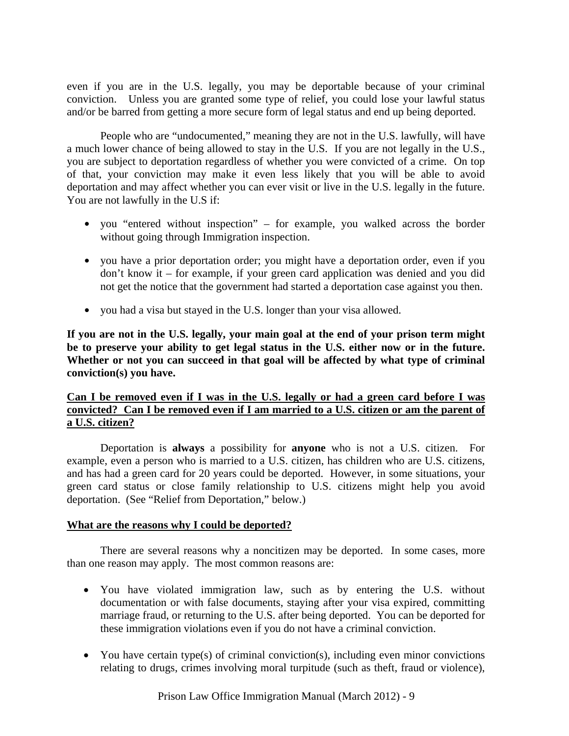even if you are in the U.S. legally, you may be deportable because of your criminal conviction. Unless you are granted some type of relief, you could lose your lawful status and/or be barred from getting a more secure form of legal status and end up being deported.

People who are "undocumented," meaning they are not in the U.S. lawfully, will have a much lower chance of being allowed to stay in the U.S. If you are not legally in the U.S., you are subject to deportation regardless of whether you were convicted of a crime. On top of that, your conviction may make it even less likely that you will be able to avoid deportation and may affect whether you can ever visit or live in the U.S. legally in the future. You are not lawfully in the U.S if:

- you "entered without inspection" for example, you walked across the border without going through Immigration inspection.
- you have a prior deportation order; you might have a deportation order, even if you don't know it – for example, if your green card application was denied and you did not get the notice that the government had started a deportation case against you then.
- you had a visa but stayed in the U.S. longer than your visa allowed.

**If you are not in the U.S. legally, your main goal at the end of your prison term might be to preserve your ability to get legal status in the U.S. either now or in the future. Whether or not you can succeed in that goal will be affected by what type of criminal conviction(s) you have.** 

## **Can I be removed even if I was in the U.S. legally or had a green card before I was convicted? Can I be removed even if I am married to a U.S. citizen or am the parent of a U.S. citizen?**

 Deportation is **always** a possibility for **anyone** who is not a U.S. citizen.For example, even a person who is married to a U.S. citizen, has children who are U.S. citizens, and has had a green card for 20 years could be deported. However, in some situations, your green card status or close family relationship to U.S. citizens might help you avoid deportation. (See "Relief from Deportation," below.)

## **What are the reasons why I could be deported?**

 There are several reasons why a noncitizen may be deported. In some cases, more than one reason may apply. The most common reasons are:

- You have violated immigration law, such as by entering the U.S. without documentation or with false documents, staying after your visa expired, committing marriage fraud, or returning to the U.S. after being deported. You can be deported for these immigration violations even if you do not have a criminal conviction.
- You have certain type(s) of criminal conviction(s), including even minor convictions relating to drugs, crimes involving moral turpitude (such as theft, fraud or violence),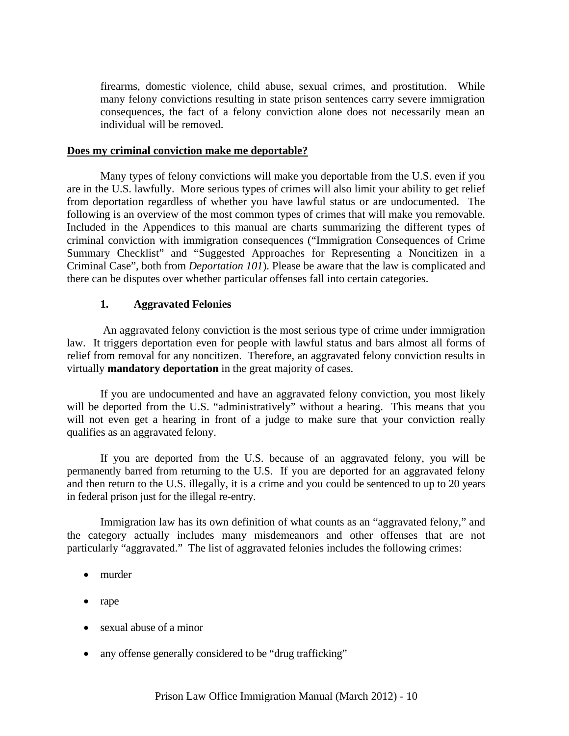firearms, domestic violence, child abuse, sexual crimes, and prostitution. While many felony convictions resulting in state prison sentences carry severe immigration consequences, the fact of a felony conviction alone does not necessarily mean an individual will be removed.

#### **Does my criminal conviction make me deportable?**

 Many types of felony convictions will make you deportable from the U.S. even if you are in the U.S. lawfully. More serious types of crimes will also limit your ability to get relief from deportation regardless of whether you have lawful status or are undocumented. The following is an overview of the most common types of crimes that will make you removable. Included in the Appendices to this manual are charts summarizing the different types of criminal conviction with immigration consequences ("Immigration Consequences of Crime Summary Checklist" and "Suggested Approaches for Representing a Noncitizen in a Criminal Case", both from *Deportation 101*). Please be aware that the law is complicated and there can be disputes over whether particular offenses fall into certain categories.

## **1. Aggravated Felonies**

 An aggravated felony conviction is the most serious type of crime under immigration law. It triggers deportation even for people with lawful status and bars almost all forms of relief from removal for any noncitizen. Therefore, an aggravated felony conviction results in virtually **mandatory deportation** in the great majority of cases.

If you are undocumented and have an aggravated felony conviction, you most likely will be deported from the U.S. "administratively" without a hearing. This means that you will not even get a hearing in front of a judge to make sure that your conviction really qualifies as an aggravated felony.

If you are deported from the U.S. because of an aggravated felony, you will be permanently barred from returning to the U.S. If you are deported for an aggravated felony and then return to the U.S. illegally, it is a crime and you could be sentenced to up to 20 years in federal prison just for the illegal re-entry.

 Immigration law has its own definition of what counts as an "aggravated felony," and the category actually includes many misdemeanors and other offenses that are not particularly "aggravated." The list of aggravated felonies includes the following crimes:

- murder
- rape
- sexual abuse of a minor
- any offense generally considered to be "drug trafficking"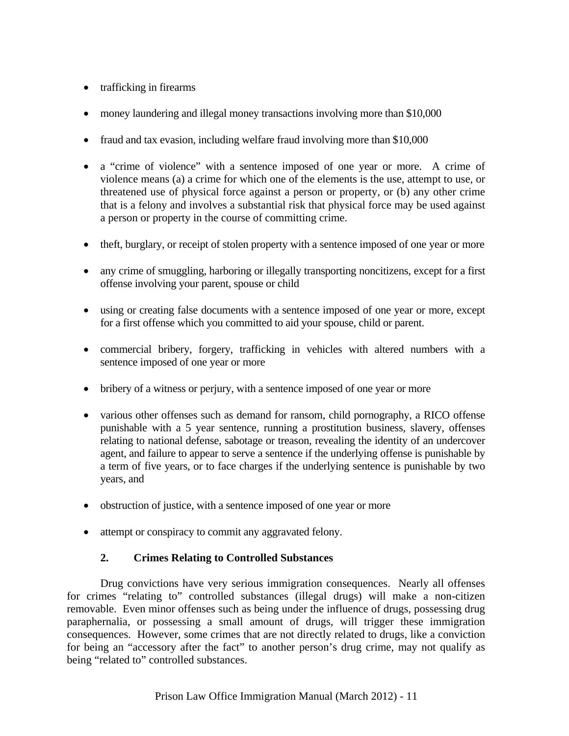- trafficking in firearms
- money laundering and illegal money transactions involving more than \$10,000
- fraud and tax evasion, including welfare fraud involving more than \$10,000
- a "crime of violence" with a sentence imposed of one year or more. A crime of violence means (a) a crime for which one of the elements is the use, attempt to use, or threatened use of physical force against a person or property, or (b) any other crime that is a felony and involves a substantial risk that physical force may be used against a person or property in the course of committing crime.
- theft, burglary, or receipt of stolen property with a sentence imposed of one year or more
- any crime of smuggling, harboring or illegally transporting noncitizens, except for a first offense involving your parent, spouse or child
- using or creating false documents with a sentence imposed of one year or more, except for a first offense which you committed to aid your spouse, child or parent.
- commercial bribery, forgery, trafficking in vehicles with altered numbers with a sentence imposed of one year or more
- bribery of a witness or perjury, with a sentence imposed of one year or more
- various other offenses such as demand for ransom, child pornography, a RICO offense punishable with a 5 year sentence, running a prostitution business, slavery, offenses relating to national defense, sabotage or treason, revealing the identity of an undercover agent, and failure to appear to serve a sentence if the underlying offense is punishable by a term of five years, or to face charges if the underlying sentence is punishable by two years, and
- obstruction of justice, with a sentence imposed of one year or more
- attempt or conspiracy to commit any aggravated felony.

# **2. Crimes Relating to Controlled Substances**

 Drug convictions have very serious immigration consequences. Nearly all offenses for crimes "relating to" controlled substances (illegal drugs) will make a non-citizen removable. Even minor offenses such as being under the influence of drugs, possessing drug paraphernalia, or possessing a small amount of drugs, will trigger these immigration consequences. However, some crimes that are not directly related to drugs, like a conviction for being an "accessory after the fact" to another person's drug crime, may not qualify as being "related to" controlled substances.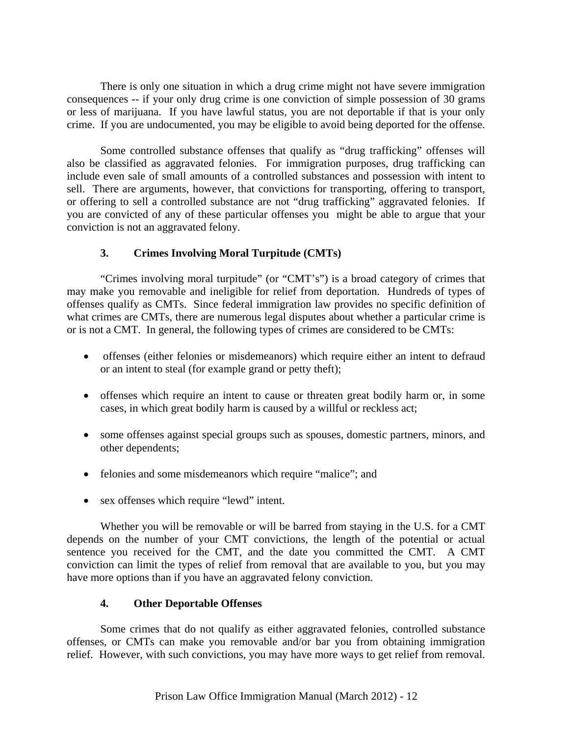There is only one situation in which a drug crime might not have severe immigration consequences -- if your only drug crime is one conviction of simple possession of 30 grams or less of marijuana. If you have lawful status, you are not deportable if that is your only crime. If you are undocumented, you may be eligible to avoid being deported for the offense.

Some controlled substance offenses that qualify as "drug trafficking" offenses will also be classified as aggravated felonies. For immigration purposes, drug trafficking can include even sale of small amounts of a controlled substances and possession with intent to sell. There are arguments, however, that convictions for transporting, offering to transport, or offering to sell a controlled substance are not "drug trafficking" aggravated felonies. If you are convicted of any of these particular offenses you might be able to argue that your conviction is not an aggravated felony.

# **3. Crimes Involving Moral Turpitude (CMTs)**

"Crimes involving moral turpitude" (or "CMT's") is a broad category of crimes that may make you removable and ineligible for relief from deportation. Hundreds of types of offenses qualify as CMTs. Since federal immigration law provides no specific definition of what crimes are CMTs, there are numerous legal disputes about whether a particular crime is or is not a CMT. In general, the following types of crimes are considered to be CMTs:

- offenses (either felonies or misdemeanors) which require either an intent to defraud or an intent to steal (for example grand or petty theft);
- offenses which require an intent to cause or threaten great bodily harm or, in some cases, in which great bodily harm is caused by a willful or reckless act;
- some offenses against special groups such as spouses, domestic partners, minors, and other dependents;
- felonies and some misdemeanors which require "malice"; and
- sex offenses which require "lewd" intent.

 Whether you will be removable or will be barred from staying in the U.S. for a CMT depends on the number of your CMT convictions, the length of the potential or actual sentence you received for the CMT, and the date you committed the CMT. A CMT conviction can limit the types of relief from removal that are available to you, but you may have more options than if you have an aggravated felony conviction.

## **4. Other Deportable Offenses**

 Some crimes that do not qualify as either aggravated felonies, controlled substance offenses, or CMTs can make you removable and/or bar you from obtaining immigration relief. However, with such convictions, you may have more ways to get relief from removal.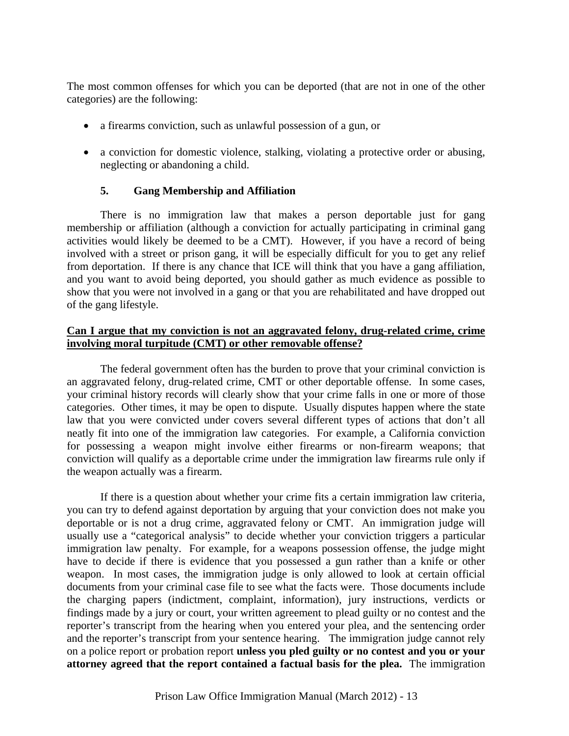The most common offenses for which you can be deported (that are not in one of the other categories) are the following:

- a firearms conviction, such as unlawful possession of a gun, or
- a conviction for domestic violence, stalking, violating a protective order or abusing, neglecting or abandoning a child.

## **5. Gang Membership and Affiliation**

There is no immigration law that makes a person deportable just for gang membership or affiliation (although a conviction for actually participating in criminal gang activities would likely be deemed to be a CMT). However, if you have a record of being involved with a street or prison gang, it will be especially difficult for you to get any relief from deportation. If there is any chance that ICE will think that you have a gang affiliation, and you want to avoid being deported, you should gather as much evidence as possible to show that you were not involved in a gang or that you are rehabilitated and have dropped out of the gang lifestyle.

## **Can I argue that my conviction is not an aggravated felony, drug-related crime, crime involving moral turpitude (CMT) or other removable offense?**

The federal government often has the burden to prove that your criminal conviction is an aggravated felony, drug-related crime, CMT or other deportable offense. In some cases, your criminal history records will clearly show that your crime falls in one or more of those categories. Other times, it may be open to dispute. Usually disputes happen where the state law that you were convicted under covers several different types of actions that don't all neatly fit into one of the immigration law categories. For example, a California conviction for possessing a weapon might involve either firearms or non-firearm weapons; that conviction will qualify as a deportable crime under the immigration law firearms rule only if the weapon actually was a firearm.

If there is a question about whether your crime fits a certain immigration law criteria, you can try to defend against deportation by arguing that your conviction does not make you deportable or is not a drug crime, aggravated felony or CMT. An immigration judge will usually use a "categorical analysis" to decide whether your conviction triggers a particular immigration law penalty. For example, for a weapons possession offense, the judge might have to decide if there is evidence that you possessed a gun rather than a knife or other weapon. In most cases, the immigration judge is only allowed to look at certain official documents from your criminal case file to see what the facts were. Those documents include the charging papers (indictment, complaint, information), jury instructions, verdicts or findings made by a jury or court, your written agreement to plead guilty or no contest and the reporter's transcript from the hearing when you entered your plea, and the sentencing order and the reporter's transcript from your sentence hearing. The immigration judge cannot rely on a police report or probation report **unless you pled guilty or no contest and you or your attorney agreed that the report contained a factual basis for the plea.** The immigration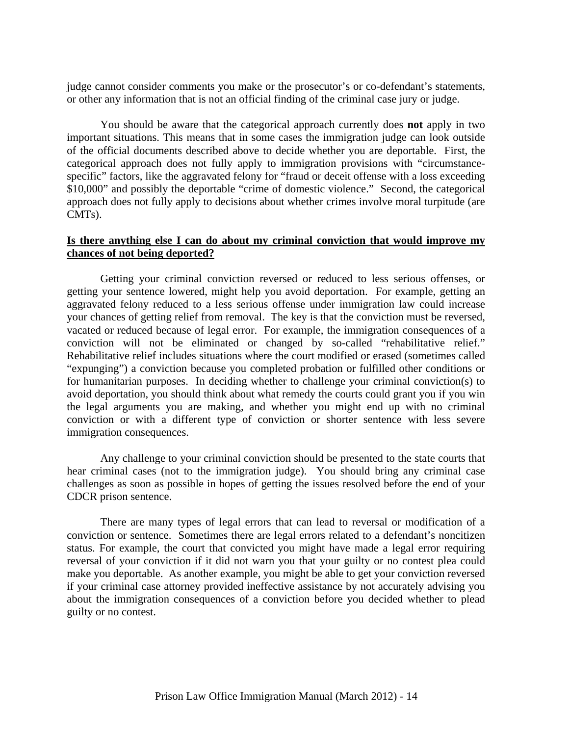judge cannot consider comments you make or the prosecutor's or co-defendant's statements, or other any information that is not an official finding of the criminal case jury or judge.

You should be aware that the categorical approach currently does **not** apply in two important situations. This means that in some cases the immigration judge can look outside of the official documents described above to decide whether you are deportable. First, the categorical approach does not fully apply to immigration provisions with "circumstancespecific" factors, like the aggravated felony for "fraud or deceit offense with a loss exceeding \$10,000" and possibly the deportable "crime of domestic violence." Second, the categorical approach does not fully apply to decisions about whether crimes involve moral turpitude (are CMTs).

## **Is there anything else I can do about my criminal conviction that would improve my chances of not being deported?**

 Getting your criminal conviction reversed or reduced to less serious offenses, or getting your sentence lowered, might help you avoid deportation. For example, getting an aggravated felony reduced to a less serious offense under immigration law could increase your chances of getting relief from removal. The key is that the conviction must be reversed, vacated or reduced because of legal error. For example, the immigration consequences of a conviction will not be eliminated or changed by so-called "rehabilitative relief." Rehabilitative relief includes situations where the court modified or erased (sometimes called "expunging") a conviction because you completed probation or fulfilled other conditions or for humanitarian purposes. In deciding whether to challenge your criminal conviction(s) to avoid deportation, you should think about what remedy the courts could grant you if you win the legal arguments you are making, and whether you might end up with no criminal conviction or with a different type of conviction or shorter sentence with less severe immigration consequences.

 Any challenge to your criminal conviction should be presented to the state courts that hear criminal cases (not to the immigration judge). You should bring any criminal case challenges as soon as possible in hopes of getting the issues resolved before the end of your CDCR prison sentence.

 There are many types of legal errors that can lead to reversal or modification of a conviction or sentence. Sometimes there are legal errors related to a defendant's noncitizen status. For example, the court that convicted you might have made a legal error requiring reversal of your conviction if it did not warn you that your guilty or no contest plea could make you deportable. As another example, you might be able to get your conviction reversed if your criminal case attorney provided ineffective assistance by not accurately advising you about the immigration consequences of a conviction before you decided whether to plead guilty or no contest.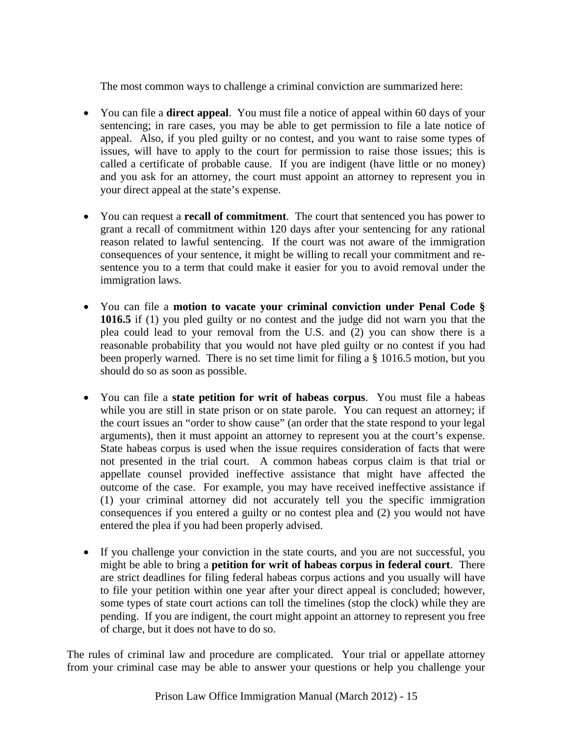The most common ways to challenge a criminal conviction are summarized here:

- You can file a **direct appeal**. You must file a notice of appeal within 60 days of your sentencing; in rare cases, you may be able to get permission to file a late notice of appeal. Also, if you pled guilty or no contest, and you want to raise some types of issues, will have to apply to the court for permission to raise those issues; this is called a certificate of probable cause. If you are indigent (have little or no money) and you ask for an attorney, the court must appoint an attorney to represent you in your direct appeal at the state's expense.
- You can request a **recall of commitment**. The court that sentenced you has power to grant a recall of commitment within 120 days after your sentencing for any rational reason related to lawful sentencing. If the court was not aware of the immigration consequences of your sentence, it might be willing to recall your commitment and resentence you to a term that could make it easier for you to avoid removal under the immigration laws.
- You can file a **motion to vacate your criminal conviction under Penal Code § 1016.5** if (1) you pled guilty or no contest and the judge did not warn you that the plea could lead to your removal from the U.S. and (2) you can show there is a reasonable probability that you would not have pled guilty or no contest if you had been properly warned. There is no set time limit for filing a § 1016.5 motion, but you should do so as soon as possible.
- You can file a **state petition for writ of habeas corpus**. You must file a habeas while you are still in state prison or on state parole. You can request an attorney; if the court issues an "order to show cause" (an order that the state respond to your legal arguments), then it must appoint an attorney to represent you at the court's expense. State habeas corpus is used when the issue requires consideration of facts that were not presented in the trial court. A common habeas corpus claim is that trial or appellate counsel provided ineffective assistance that might have affected the outcome of the case. For example, you may have received ineffective assistance if (1) your criminal attorney did not accurately tell you the specific immigration consequences if you entered a guilty or no contest plea and (2) you would not have entered the plea if you had been properly advised.
- If you challenge your conviction in the state courts, and you are not successful, you might be able to bring a **petition for writ of habeas corpus in federal court**. There are strict deadlines for filing federal habeas corpus actions and you usually will have to file your petition within one year after your direct appeal is concluded; however, some types of state court actions can toll the timelines (stop the clock) while they are pending. If you are indigent, the court might appoint an attorney to represent you free of charge, but it does not have to do so.

The rules of criminal law and procedure are complicated. Your trial or appellate attorney from your criminal case may be able to answer your questions or help you challenge your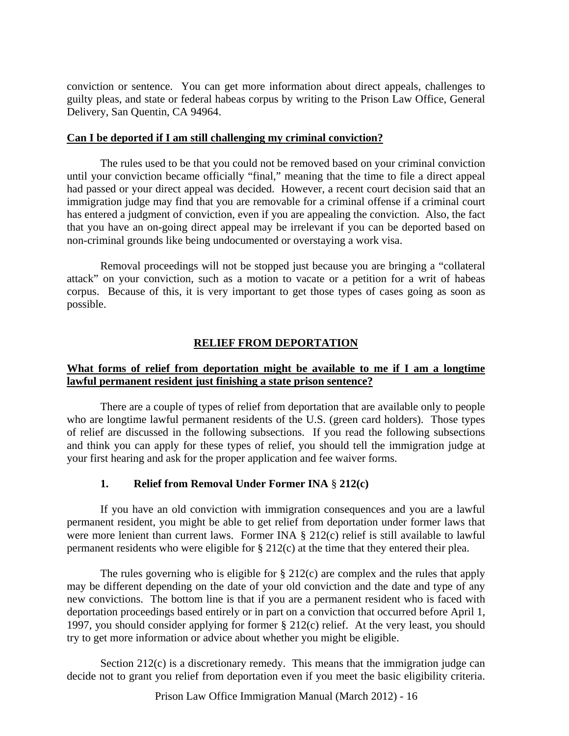conviction or sentence. You can get more information about direct appeals, challenges to guilty pleas, and state or federal habeas corpus by writing to the Prison Law Office, General Delivery, San Quentin, CA 94964.

#### **Can I be deported if I am still challenging my criminal conviction?**

 The rules used to be that you could not be removed based on your criminal conviction until your conviction became officially "final," meaning that the time to file a direct appeal had passed or your direct appeal was decided. However, a recent court decision said that an immigration judge may find that you are removable for a criminal offense if a criminal court has entered a judgment of conviction, even if you are appealing the conviction. Also, the fact that you have an on-going direct appeal may be irrelevant if you can be deported based on non-criminal grounds like being undocumented or overstaying a work visa.

 Removal proceedings will not be stopped just because you are bringing a "collateral attack" on your conviction, such as a motion to vacate or a petition for a writ of habeas corpus. Because of this, it is very important to get those types of cases going as soon as possible.

## **RELIEF FROM DEPORTATION**

## **What forms of relief from deportation might be available to me if I am a longtime lawful permanent resident just finishing a state prison sentence?**

There are a couple of types of relief from deportation that are available only to people who are longtime lawful permanent residents of the U.S. (green card holders). Those types of relief are discussed in the following subsections. If you read the following subsections and think you can apply for these types of relief, you should tell the immigration judge at your first hearing and ask for the proper application and fee waiver forms.

## **1. Relief from Removal Under Former INA** § **212(c)**

 If you have an old conviction with immigration consequences and you are a lawful permanent resident, you might be able to get relief from deportation under former laws that were more lenient than current laws. Former INA § 212(c) relief is still available to lawful permanent residents who were eligible for § 212(c) at the time that they entered their plea.

The rules governing who is eligible for  $\S 212(c)$  are complex and the rules that apply may be different depending on the date of your old conviction and the date and type of any new convictions. The bottom line is that if you are a permanent resident who is faced with deportation proceedings based entirely or in part on a conviction that occurred before April 1, 1997, you should consider applying for former § 212(c) relief. At the very least, you should try to get more information or advice about whether you might be eligible.

Section 212(c) is a discretionary remedy. This means that the immigration judge can decide not to grant you relief from deportation even if you meet the basic eligibility criteria.

Prison Law Office Immigration Manual (March 2012) - 16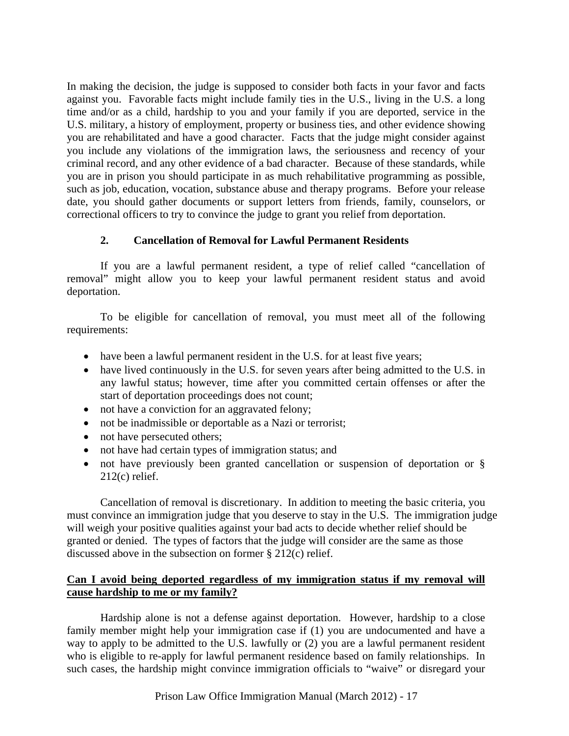In making the decision, the judge is supposed to consider both facts in your favor and facts against you. Favorable facts might include family ties in the U.S., living in the U.S. a long time and/or as a child, hardship to you and your family if you are deported, service in the U.S. military, a history of employment, property or business ties, and other evidence showing you are rehabilitated and have a good character. Facts that the judge might consider against you include any violations of the immigration laws, the seriousness and recency of your criminal record, and any other evidence of a bad character. Because of these standards, while you are in prison you should participate in as much rehabilitative programming as possible, such as job, education, vocation, substance abuse and therapy programs. Before your release date, you should gather documents or support letters from friends, family, counselors, or correctional officers to try to convince the judge to grant you relief from deportation.

# **2. Cancellation of Removal for Lawful Permanent Residents**

If you are a lawful permanent resident, a type of relief called "cancellation of removal" might allow you to keep your lawful permanent resident status and avoid deportation.

 To be eligible for cancellation of removal, you must meet all of the following requirements:

- have been a lawful permanent resident in the U.S. for at least five years;
- have lived continuously in the U.S. for seven years after being admitted to the U.S. in any lawful status; however, time after you committed certain offenses or after the start of deportation proceedings does not count;
- not have a conviction for an aggravated felony;
- not be inadmissible or deportable as a Nazi or terrorist;
- not have persecuted others;
- not have had certain types of immigration status; and
- not have previously been granted cancellation or suspension of deportation or § 212(c) relief.

Cancellation of removal is discretionary. In addition to meeting the basic criteria, you must convince an immigration judge that you deserve to stay in the U.S. The immigration judge will weigh your positive qualities against your bad acts to decide whether relief should be granted or denied. The types of factors that the judge will consider are the same as those discussed above in the subsection on former § 212(c) relief.

# **Can I avoid being deported regardless of my immigration status if my removal will cause hardship to me or my family?**

 Hardship alone is not a defense against deportation. However, hardship to a close family member might help your immigration case if (1) you are undocumented and have a way to apply to be admitted to the U.S. lawfully or (2) you are a lawful permanent resident who is eligible to re-apply for lawful permanent residence based on family relationships. In such cases, the hardship might convince immigration officials to "waive" or disregard your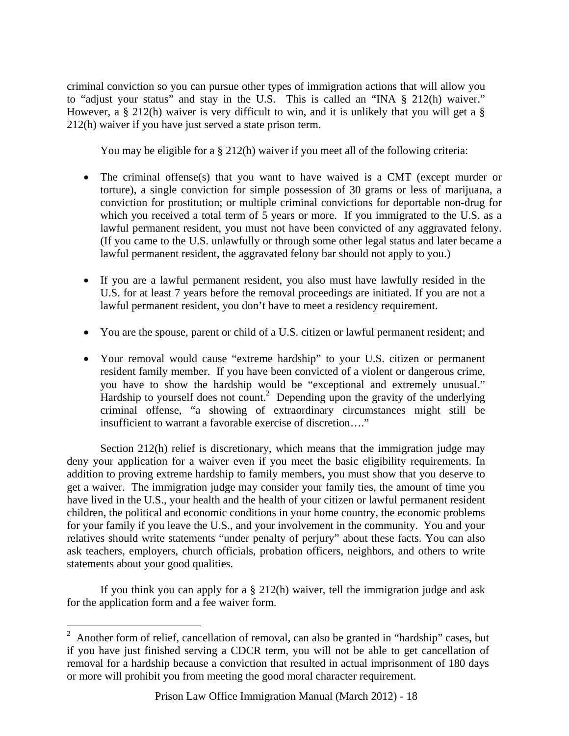criminal conviction so you can pursue other types of immigration actions that will allow you to "adjust your status" and stay in the U.S. This is called an "INA § 212(h) waiver." However, a § 212(h) waiver is very difficult to win, and it is unlikely that you will get a § 212(h) waiver if you have just served a state prison term.

You may be eligible for a § 212(h) waiver if you meet all of the following criteria:

- The criminal offense(s) that you want to have waived is a CMT (except murder or torture), a single conviction for simple possession of 30 grams or less of marijuana, a conviction for prostitution; or multiple criminal convictions for deportable non-drug for which you received a total term of 5 years or more. If you immigrated to the U.S. as a lawful permanent resident, you must not have been convicted of any aggravated felony. (If you came to the U.S. unlawfully or through some other legal status and later became a lawful permanent resident, the aggravated felony bar should not apply to you.)
- If you are a lawful permanent resident, you also must have lawfully resided in the U.S. for at least 7 years before the removal proceedings are initiated. If you are not a lawful permanent resident, you don't have to meet a residency requirement.
- You are the spouse, parent or child of a U.S. citizen or lawful permanent resident; and
- Your removal would cause "extreme hardship" to your U.S. citizen or permanent resident family member. If you have been convicted of a violent or dangerous crime, you have to show the hardship would be "exceptional and extremely unusual." Hardship to yourself does not count.<sup>2</sup> Depending upon the gravity of the underlying criminal offense, "a showing of extraordinary circumstances might still be insufficient to warrant a favorable exercise of discretion…."

 Section 212(h) relief is discretionary, which means that the immigration judge may deny your application for a waiver even if you meet the basic eligibility requirements. In addition to proving extreme hardship to family members, you must show that you deserve to get a waiver. The immigration judge may consider your family ties, the amount of time you have lived in the U.S., your health and the health of your citizen or lawful permanent resident children, the political and economic conditions in your home country, the economic problems for your family if you leave the U.S., and your involvement in the community. You and your relatives should write statements "under penalty of perjury" about these facts. You can also ask teachers, employers, church officials, probation officers, neighbors, and others to write statements about your good qualities.

 If you think you can apply for a § 212(h) waiver, tell the immigration judge and ask for the application form and a fee waiver form.

<sup>&</sup>lt;sup>2</sup> Another form of relief, cancellation of removal, can also be granted in "hardship" cases, but if you have just finished serving a CDCR term, you will not be able to get cancellation of removal for a hardship because a conviction that resulted in actual imprisonment of 180 days or more will prohibit you from meeting the good moral character requirement.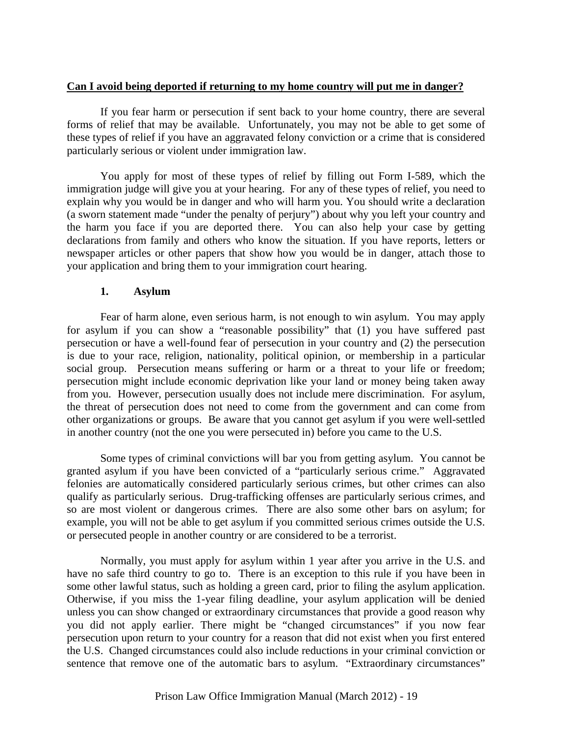## **Can I avoid being deported if returning to my home country will put me in danger?**

 If you fear harm or persecution if sent back to your home country, there are several forms of relief that may be available. Unfortunately, you may not be able to get some of these types of relief if you have an aggravated felony conviction or a crime that is considered particularly serious or violent under immigration law.

 You apply for most of these types of relief by filling out Form I-589, which the immigration judge will give you at your hearing. For any of these types of relief, you need to explain why you would be in danger and who will harm you. You should write a declaration (a sworn statement made "under the penalty of perjury") about why you left your country and the harm you face if you are deported there. You can also help your case by getting declarations from family and others who know the situation. If you have reports, letters or newspaper articles or other papers that show how you would be in danger, attach those to your application and bring them to your immigration court hearing.

#### **1. Asylum**

Fear of harm alone, even serious harm, is not enough to win asylum. You may apply for asylum if you can show a "reasonable possibility" that (1) you have suffered past persecution or have a well-found fear of persecution in your country and (2) the persecution is due to your race, religion, nationality, political opinion, or membership in a particular social group. Persecution means suffering or harm or a threat to your life or freedom; persecution might include economic deprivation like your land or money being taken away from you. However, persecution usually does not include mere discrimination. For asylum, the threat of persecution does not need to come from the government and can come from other organizations or groups. Be aware that you cannot get asylum if you were well-settled in another country (not the one you were persecuted in) before you came to the U.S.

 Some types of criminal convictions will bar you from getting asylum. You cannot be granted asylum if you have been convicted of a "particularly serious crime." Aggravated felonies are automatically considered particularly serious crimes, but other crimes can also qualify as particularly serious. Drug-trafficking offenses are particularly serious crimes, and so are most violent or dangerous crimes. There are also some other bars on asylum; for example, you will not be able to get asylum if you committed serious crimes outside the U.S. or persecuted people in another country or are considered to be a terrorist.

 Normally, you must apply for asylum within 1 year after you arrive in the U.S. and have no safe third country to go to. There is an exception to this rule if you have been in some other lawful status, such as holding a green card, prior to filing the asylum application. Otherwise, if you miss the 1-year filing deadline, your asylum application will be denied unless you can show changed or extraordinary circumstances that provide a good reason why you did not apply earlier. There might be "changed circumstances" if you now fear persecution upon return to your country for a reason that did not exist when you first entered the U.S. Changed circumstances could also include reductions in your criminal conviction or sentence that remove one of the automatic bars to asylum. "Extraordinary circumstances"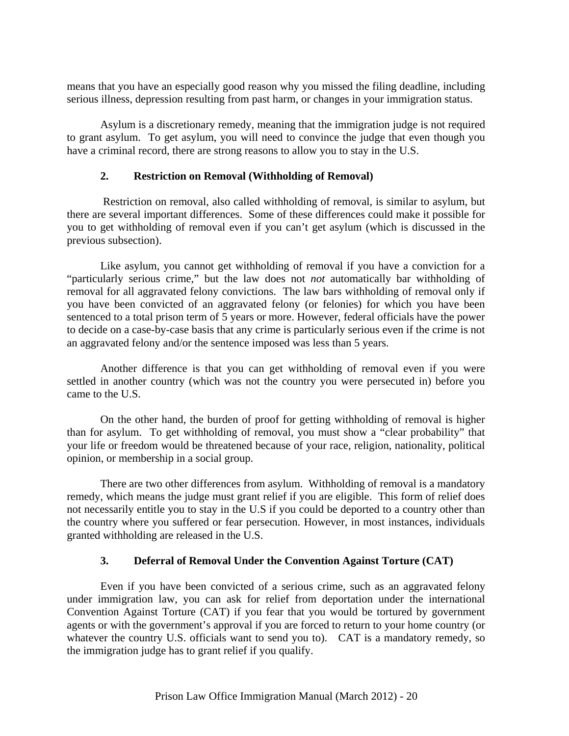means that you have an especially good reason why you missed the filing deadline, including serious illness, depression resulting from past harm, or changes in your immigration status.

 Asylum is a discretionary remedy, meaning that the immigration judge is not required to grant asylum. To get asylum, you will need to convince the judge that even though you have a criminal record, there are strong reasons to allow you to stay in the U.S.

# **2. Restriction on Removal (Withholding of Removal)**

 Restriction on removal, also called withholding of removal, is similar to asylum, but there are several important differences. Some of these differences could make it possible for you to get withholding of removal even if you can't get asylum (which is discussed in the previous subsection).

Like asylum, you cannot get withholding of removal if you have a conviction for a "particularly serious crime," but the law does not *not* automatically bar withholding of removal for all aggravated felony convictions. The law bars withholding of removal only if you have been convicted of an aggravated felony (or felonies) for which you have been sentenced to a total prison term of 5 years or more. However, federal officials have the power to decide on a case-by-case basis that any crime is particularly serious even if the crime is not an aggravated felony and/or the sentence imposed was less than 5 years.

Another difference is that you can get withholding of removal even if you were settled in another country (which was not the country you were persecuted in) before you came to the U.S.

On the other hand, the burden of proof for getting withholding of removal is higher than for asylum. To get withholding of removal, you must show a "clear probability" that your life or freedom would be threatened because of your race, religion, nationality, political opinion, or membership in a social group.

There are two other differences from asylum. Withholding of removal is a mandatory remedy, which means the judge must grant relief if you are eligible. This form of relief does not necessarily entitle you to stay in the U.S if you could be deported to a country other than the country where you suffered or fear persecution. However, in most instances, individuals granted withholding are released in the U.S.

# **3. Deferral of Removal Under the Convention Against Torture (CAT)**

 Even if you have been convicted of a serious crime, such as an aggravated felony under immigration law, you can ask for relief from deportation under the international Convention Against Torture (CAT) if you fear that you would be tortured by government agents or with the government's approval if you are forced to return to your home country (or whatever the country U.S. officials want to send you to). CAT is a mandatory remedy, so the immigration judge has to grant relief if you qualify.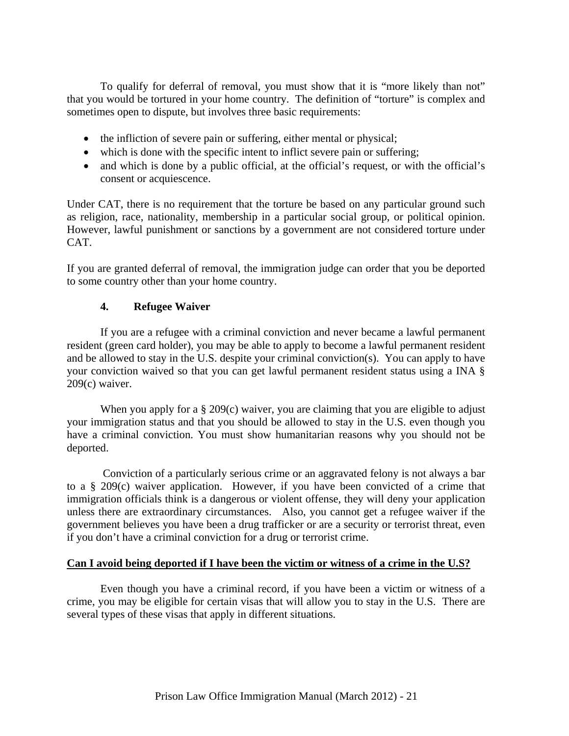To qualify for deferral of removal, you must show that it is "more likely than not" that you would be tortured in your home country. The definition of "torture" is complex and sometimes open to dispute, but involves three basic requirements:

- the infliction of severe pain or suffering, either mental or physical;
- which is done with the specific intent to inflict severe pain or suffering;
- and which is done by a public official, at the official's request, or with the official's consent or acquiescence.

Under CAT, there is no requirement that the torture be based on any particular ground such as religion, race, nationality, membership in a particular social group, or political opinion. However, lawful punishment or sanctions by a government are not considered torture under CAT.

If you are granted deferral of removal, the immigration judge can order that you be deported to some country other than your home country.

## **4. Refugee Waiver**

 If you are a refugee with a criminal conviction and never became a lawful permanent resident (green card holder), you may be able to apply to become a lawful permanent resident and be allowed to stay in the U.S. despite your criminal conviction(s). You can apply to have your conviction waived so that you can get lawful permanent resident status using a INA § 209(c) waiver.

When you apply for a  $\S 209(c)$  waiver, you are claiming that you are eligible to adjust your immigration status and that you should be allowed to stay in the U.S. even though you have a criminal conviction. You must show humanitarian reasons why you should not be deported.

 Conviction of a particularly serious crime or an aggravated felony is not always a bar to a § 209(c) waiver application. However, if you have been convicted of a crime that immigration officials think is a dangerous or violent offense, they will deny your application unless there are extraordinary circumstances. Also, you cannot get a refugee waiver if the government believes you have been a drug trafficker or are a security or terrorist threat, even if you don't have a criminal conviction for a drug or terrorist crime.

## **Can I avoid being deported if I have been the victim or witness of a crime in the U.S?**

Even though you have a criminal record, if you have been a victim or witness of a crime, you may be eligible for certain visas that will allow you to stay in the U.S. There are several types of these visas that apply in different situations.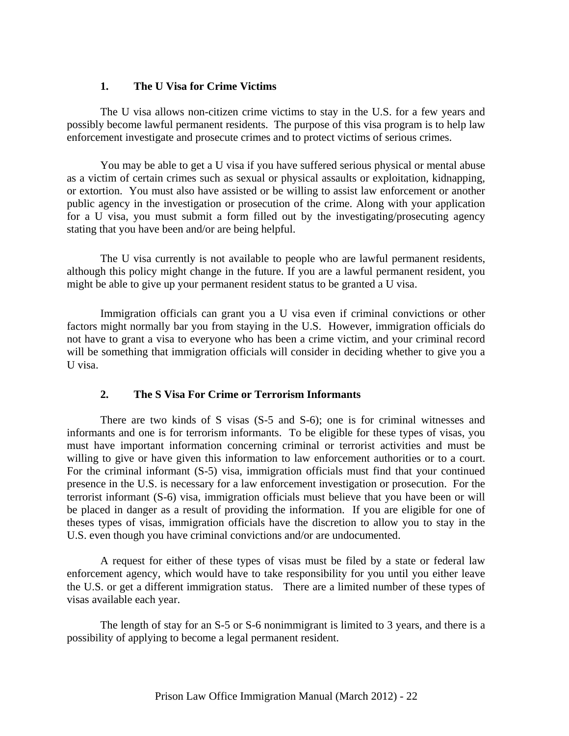## **1. The U Visa for Crime Victims**

The U visa allows non-citizen crime victims to stay in the U.S. for a few years and possibly become lawful permanent residents. The purpose of this visa program is to help law enforcement investigate and prosecute crimes and to protect victims of serious crimes.

You may be able to get a U visa if you have suffered serious physical or mental abuse as a victim of certain crimes such as sexual or physical assaults or exploitation, kidnapping, or extortion. You must also have assisted or be willing to assist law enforcement or another public agency in the investigation or prosecution of the crime. Along with your application for a U visa, you must submit a form filled out by the investigating/prosecuting agency stating that you have been and/or are being helpful.

The U visa currently is not available to people who are lawful permanent residents, although this policy might change in the future. If you are a lawful permanent resident, you might be able to give up your permanent resident status to be granted a U visa.

Immigration officials can grant you a U visa even if criminal convictions or other factors might normally bar you from staying in the U.S. However, immigration officials do not have to grant a visa to everyone who has been a crime victim, and your criminal record will be something that immigration officials will consider in deciding whether to give you a U visa.

## **2. The S Visa For Crime or Terrorism Informants**

There are two kinds of S visas (S-5 and S-6); one is for criminal witnesses and informants and one is for terrorism informants. To be eligible for these types of visas, you must have important information concerning criminal or terrorist activities and must be willing to give or have given this information to law enforcement authorities or to a court. For the criminal informant (S-5) visa, immigration officials must find that your continued presence in the U.S. is necessary for a law enforcement investigation or prosecution. For the terrorist informant (S-6) visa, immigration officials must believe that you have been or will be placed in danger as a result of providing the information. If you are eligible for one of theses types of visas, immigration officials have the discretion to allow you to stay in the U.S. even though you have criminal convictions and/or are undocumented.

A request for either of these types of visas must be filed by a state or federal law enforcement agency, which would have to take responsibility for you until you either leave the U.S. or get a different immigration status. There are a limited number of these types of visas available each year.

The length of stay for an S-5 or S-6 nonimmigrant is limited to 3 years, and there is a possibility of applying to become a legal permanent resident.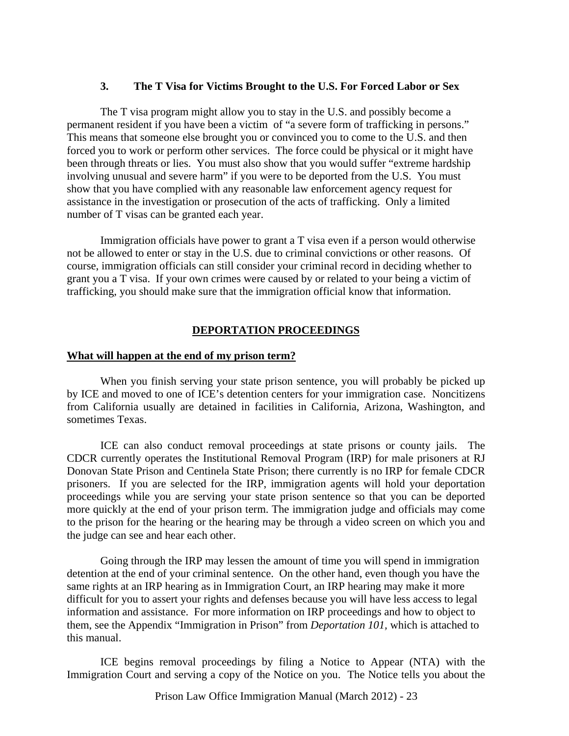#### **3. The T Visa for Victims Brought to the U.S. For Forced Labor or Sex**

The T visa program might allow you to stay in the U.S. and possibly become a permanent resident if you have been a victim of "a severe form of trafficking in persons." This means that someone else brought you or convinced you to come to the U.S. and then forced you to work or perform other services. The force could be physical or it might have been through threats or lies. You must also show that you would suffer "extreme hardship involving unusual and severe harm" if you were to be deported from the U.S. You must show that you have complied with any reasonable law enforcement agency request for assistance in the investigation or prosecution of the acts of trafficking. Only a limited number of T visas can be granted each year.

Immigration officials have power to grant a T visa even if a person would otherwise not be allowed to enter or stay in the U.S. due to criminal convictions or other reasons. Of course, immigration officials can still consider your criminal record in deciding whether to grant you a T visa. If your own crimes were caused by or related to your being a victim of trafficking, you should make sure that the immigration official know that information.

#### **DEPORTATION PROCEEDINGS**

#### **What will happen at the end of my prison term?**

 When you finish serving your state prison sentence, you will probably be picked up by ICE and moved to one of ICE's detention centers for your immigration case. Noncitizens from California usually are detained in facilities in California, Arizona, Washington, and sometimes Texas.

 ICE can also conduct removal proceedings at state prisons or county jails. The CDCR currently operates the Institutional Removal Program (IRP) for male prisoners at RJ Donovan State Prison and Centinela State Prison; there currently is no IRP for female CDCR prisoners. If you are selected for the IRP, immigration agents will hold your deportation proceedings while you are serving your state prison sentence so that you can be deported more quickly at the end of your prison term. The immigration judge and officials may come to the prison for the hearing or the hearing may be through a video screen on which you and the judge can see and hear each other.

Going through the IRP may lessen the amount of time you will spend in immigration detention at the end of your criminal sentence. On the other hand, even though you have the same rights at an IRP hearing as in Immigration Court, an IRP hearing may make it more difficult for you to assert your rights and defenses because you will have less access to legal information and assistance. For more information on IRP proceedings and how to object to them, see the Appendix "Immigration in Prison" from *Deportation 101,* which is attached to this manual.

 ICE begins removal proceedings by filing a Notice to Appear (NTA) with the Immigration Court and serving a copy of the Notice on you. The Notice tells you about the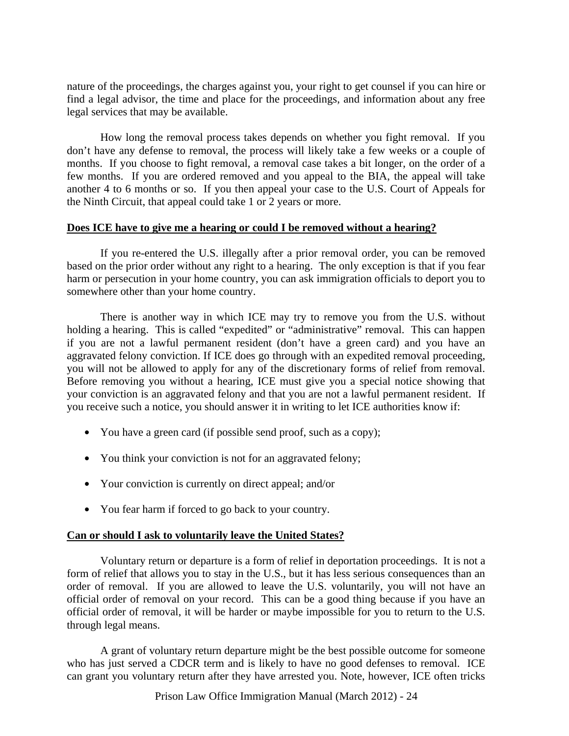nature of the proceedings, the charges against you, your right to get counsel if you can hire or find a legal advisor, the time and place for the proceedings, and information about any free legal services that may be available.

 How long the removal process takes depends on whether you fight removal. If you don't have any defense to removal, the process will likely take a few weeks or a couple of months. If you choose to fight removal, a removal case takes a bit longer, on the order of a few months. If you are ordered removed and you appeal to the BIA, the appeal will take another 4 to 6 months or so. If you then appeal your case to the U.S. Court of Appeals for the Ninth Circuit, that appeal could take 1 or 2 years or more.

## **Does ICE have to give me a hearing or could I be removed without a hearing?**

 If you re-entered the U.S. illegally after a prior removal order, you can be removed based on the prior order without any right to a hearing. The only exception is that if you fear harm or persecution in your home country, you can ask immigration officials to deport you to somewhere other than your home country.

 There is another way in which ICE may try to remove you from the U.S. without holding a hearing. This is called "expedited" or "administrative" removal. This can happen if you are not a lawful permanent resident (don't have a green card) and you have an aggravated felony conviction. If ICE does go through with an expedited removal proceeding, you will not be allowed to apply for any of the discretionary forms of relief from removal. Before removing you without a hearing, ICE must give you a special notice showing that your conviction is an aggravated felony and that you are not a lawful permanent resident. If you receive such a notice, you should answer it in writing to let ICE authorities know if:

- You have a green card (if possible send proof, such as a copy);
- You think your conviction is not for an aggravated felony;
- Your conviction is currently on direct appeal; and/or
- You fear harm if forced to go back to your country.

# **Can or should I ask to voluntarily leave the United States?**

 Voluntary return or departure is a form of relief in deportation proceedings. It is not a form of relief that allows you to stay in the U.S., but it has less serious consequences than an order of removal. If you are allowed to leave the U.S. voluntarily, you will not have an official order of removal on your record. This can be a good thing because if you have an official order of removal, it will be harder or maybe impossible for you to return to the U.S. through legal means.

 A grant of voluntary return departure might be the best possible outcome for someone who has just served a CDCR term and is likely to have no good defenses to removal. ICE can grant you voluntary return after they have arrested you. Note, however, ICE often tricks

Prison Law Office Immigration Manual (March 2012) - 24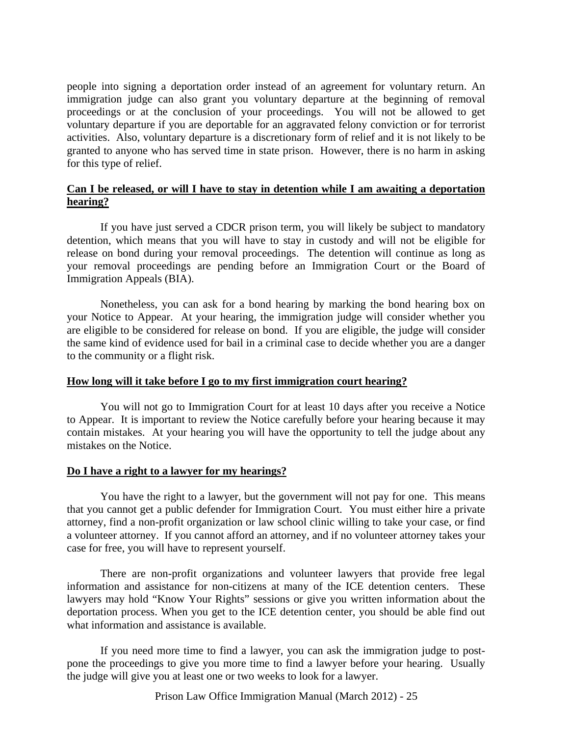people into signing a deportation order instead of an agreement for voluntary return. An immigration judge can also grant you voluntary departure at the beginning of removal proceedings or at the conclusion of your proceedings. You will not be allowed to get voluntary departure if you are deportable for an aggravated felony conviction or for terrorist activities. Also, voluntary departure is a discretionary form of relief and it is not likely to be granted to anyone who has served time in state prison. However, there is no harm in asking for this type of relief.

## **Can I be released, or will I have to stay in detention while I am awaiting a deportation hearing?**

 If you have just served a CDCR prison term, you will likely be subject to mandatory detention, which means that you will have to stay in custody and will not be eligible for release on bond during your removal proceedings. The detention will continue as long as your removal proceedings are pending before an Immigration Court or the Board of Immigration Appeals (BIA).

 Nonetheless, you can ask for a bond hearing by marking the bond hearing box on your Notice to Appear. At your hearing, the immigration judge will consider whether you are eligible to be considered for release on bond. If you are eligible, the judge will consider the same kind of evidence used for bail in a criminal case to decide whether you are a danger to the community or a flight risk.

## **How long will it take before I go to my first immigration court hearing?**

 You will not go to Immigration Court for at least 10 days after you receive a Notice to Appear. It is important to review the Notice carefully before your hearing because it may contain mistakes. At your hearing you will have the opportunity to tell the judge about any mistakes on the Notice.

## **Do I have a right to a lawyer for my hearings?**

 You have the right to a lawyer, but the government will not pay for one. This means that you cannot get a public defender for Immigration Court. You must either hire a private attorney, find a non-profit organization or law school clinic willing to take your case, or find a volunteer attorney. If you cannot afford an attorney, and if no volunteer attorney takes your case for free, you will have to represent yourself.

 There are non-profit organizations and volunteer lawyers that provide free legal information and assistance for non-citizens at many of the ICE detention centers. These lawyers may hold "Know Your Rights" sessions or give you written information about the deportation process. When you get to the ICE detention center, you should be able find out what information and assistance is available.

 If you need more time to find a lawyer, you can ask the immigration judge to postpone the proceedings to give you more time to find a lawyer before your hearing. Usually the judge will give you at least one or two weeks to look for a lawyer.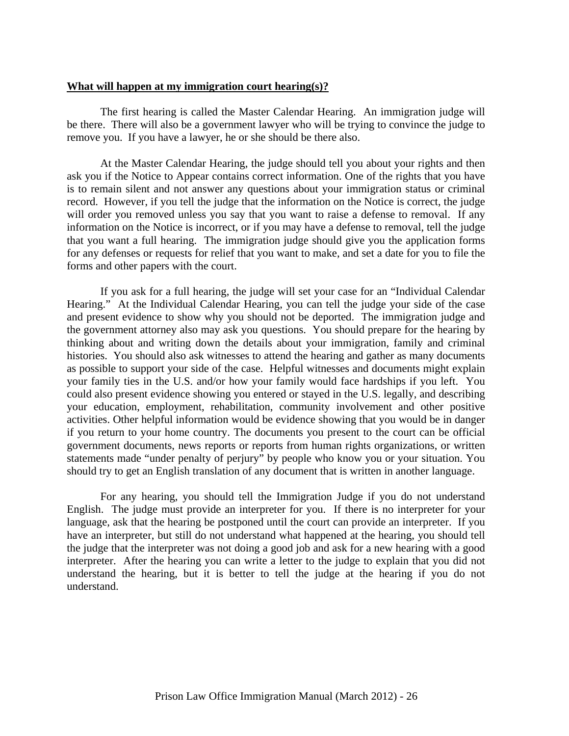#### **What will happen at my immigration court hearing(s)?**

 The first hearing is called the Master Calendar Hearing. An immigration judge will be there. There will also be a government lawyer who will be trying to convince the judge to remove you. If you have a lawyer, he or she should be there also.

 At the Master Calendar Hearing, the judge should tell you about your rights and then ask you if the Notice to Appear contains correct information. One of the rights that you have is to remain silent and not answer any questions about your immigration status or criminal record. However, if you tell the judge that the information on the Notice is correct, the judge will order you removed unless you say that you want to raise a defense to removal. If any information on the Notice is incorrect, or if you may have a defense to removal, tell the judge that you want a full hearing. The immigration judge should give you the application forms for any defenses or requests for relief that you want to make, and set a date for you to file the forms and other papers with the court.

 If you ask for a full hearing, the judge will set your case for an "Individual Calendar Hearing." At the Individual Calendar Hearing, you can tell the judge your side of the case and present evidence to show why you should not be deported. The immigration judge and the government attorney also may ask you questions. You should prepare for the hearing by thinking about and writing down the details about your immigration, family and criminal histories. You should also ask witnesses to attend the hearing and gather as many documents as possible to support your side of the case. Helpful witnesses and documents might explain your family ties in the U.S. and/or how your family would face hardships if you left. You could also present evidence showing you entered or stayed in the U.S. legally, and describing your education, employment, rehabilitation, community involvement and other positive activities. Other helpful information would be evidence showing that you would be in danger if you return to your home country. The documents you present to the court can be official government documents, news reports or reports from human rights organizations, or written statements made "under penalty of perjury" by people who know you or your situation. You should try to get an English translation of any document that is written in another language.

For any hearing, you should tell the Immigration Judge if you do not understand English. The judge must provide an interpreter for you. If there is no interpreter for your language, ask that the hearing be postponed until the court can provide an interpreter. If you have an interpreter, but still do not understand what happened at the hearing, you should tell the judge that the interpreter was not doing a good job and ask for a new hearing with a good interpreter. After the hearing you can write a letter to the judge to explain that you did not understand the hearing, but it is better to tell the judge at the hearing if you do not understand.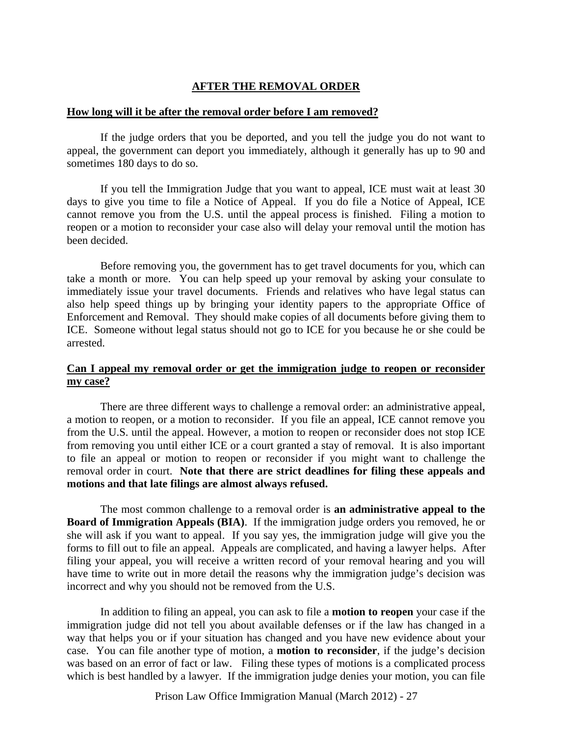# **AFTER THE REMOVAL ORDER**

#### **How long will it be after the removal order before I am removed?**

 If the judge orders that you be deported, and you tell the judge you do not want to appeal, the government can deport you immediately, although it generally has up to 90 and sometimes 180 days to do so.

 If you tell the Immigration Judge that you want to appeal, ICE must wait at least 30 days to give you time to file a Notice of Appeal. If you do file a Notice of Appeal, ICE cannot remove you from the U.S. until the appeal process is finished. Filing a motion to reopen or a motion to reconsider your case also will delay your removal until the motion has been decided.

 Before removing you, the government has to get travel documents for you, which can take a month or more. You can help speed up your removal by asking your consulate to immediately issue your travel documents. Friends and relatives who have legal status can also help speed things up by bringing your identity papers to the appropriate Office of Enforcement and Removal. They should make copies of all documents before giving them to ICE. Someone without legal status should not go to ICE for you because he or she could be arrested.

## **Can I appeal my removal order or get the immigration judge to reopen or reconsider my case?**

 There are three different ways to challenge a removal order: an administrative appeal, a motion to reopen, or a motion to reconsider. If you file an appeal, ICE cannot remove you from the U.S. until the appeal. However, a motion to reopen or reconsider does not stop ICE from removing you until either ICE or a court granted a stay of removal. It is also important to file an appeal or motion to reopen or reconsider if you might want to challenge the removal order in court. **Note that there are strict deadlines for filing these appeals and motions and that late filings are almost always refused.** 

 The most common challenge to a removal order is **an administrative appeal to the Board of Immigration Appeals (BIA)**. If the immigration judge orders you removed, he or she will ask if you want to appeal. If you say yes, the immigration judge will give you the forms to fill out to file an appeal. Appeals are complicated, and having a lawyer helps. After filing your appeal, you will receive a written record of your removal hearing and you will have time to write out in more detail the reasons why the immigration judge's decision was incorrect and why you should not be removed from the U.S.

 In addition to filing an appeal, you can ask to file a **motion to reopen** your case if the immigration judge did not tell you about available defenses or if the law has changed in a way that helps you or if your situation has changed and you have new evidence about your case. You can file another type of motion, a **motion to reconsider**, if the judge's decision was based on an error of fact or law. Filing these types of motions is a complicated process which is best handled by a lawyer. If the immigration judge denies your motion, you can file

Prison Law Office Immigration Manual (March 2012) - 27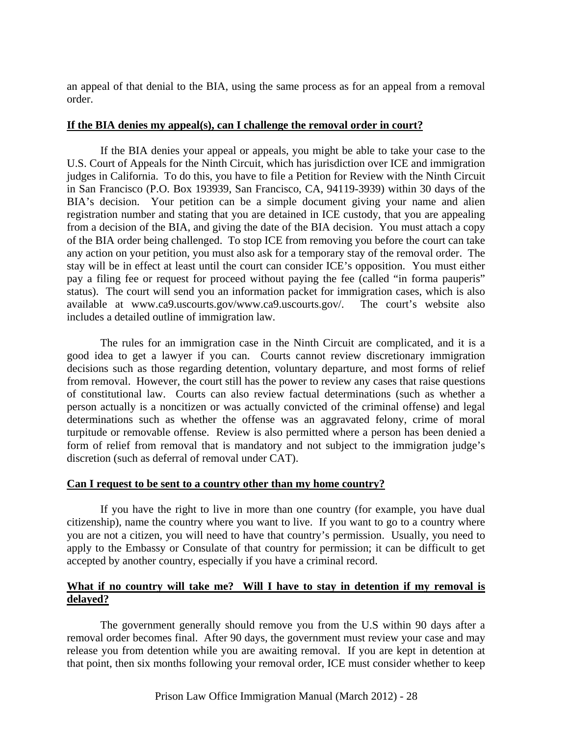an appeal of that denial to the BIA, using the same process as for an appeal from a removal order.

#### **If the BIA denies my appeal(s), can I challenge the removal order in court?**

 If the BIA denies your appeal or appeals, you might be able to take your case to the U.S. Court of Appeals for the Ninth Circuit, which has jurisdiction over ICE and immigration judges in California. To do this, you have to file a Petition for Review with the Ninth Circuit in San Francisco (P.O. Box 193939, San Francisco, CA, 94119-3939) within 30 days of the BIA's decision. Your petition can be a simple document giving your name and alien registration number and stating that you are detained in ICE custody, that you are appealing from a decision of the BIA, and giving the date of the BIA decision. You must attach a copy of the BIA order being challenged. To stop ICE from removing you before the court can take any action on your petition, you must also ask for a temporary stay of the removal order. The stay will be in effect at least until the court can consider ICE's opposition. You must either pay a filing fee or request for proceed without paying the fee (called "in forma pauperis" status). The court will send you an information packet for immigration cases, which is also available at www.ca9.uscourts.gov/www.ca9.uscourts.gov/. The court's website also includes a detailed outline of immigration law.

 The rules for an immigration case in the Ninth Circuit are complicated, and it is a good idea to get a lawyer if you can. Courts cannot review discretionary immigration decisions such as those regarding detention, voluntary departure, and most forms of relief from removal. However, the court still has the power to review any cases that raise questions of constitutional law. Courts can also review factual determinations (such as whether a person actually is a noncitizen or was actually convicted of the criminal offense) and legal determinations such as whether the offense was an aggravated felony, crime of moral turpitude or removable offense. Review is also permitted where a person has been denied a form of relief from removal that is mandatory and not subject to the immigration judge's discretion (such as deferral of removal under CAT).

#### **Can I request to be sent to a country other than my home country?**

 If you have the right to live in more than one country (for example, you have dual citizenship), name the country where you want to live. If you want to go to a country where you are not a citizen, you will need to have that country's permission. Usually, you need to apply to the Embassy or Consulate of that country for permission; it can be difficult to get accepted by another country, especially if you have a criminal record.

## **What if no country will take me? Will I have to stay in detention if my removal is delayed?**

 The government generally should remove you from the U.S within 90 days after a removal order becomes final. After 90 days, the government must review your case and may release you from detention while you are awaiting removal. If you are kept in detention at that point, then six months following your removal order, ICE must consider whether to keep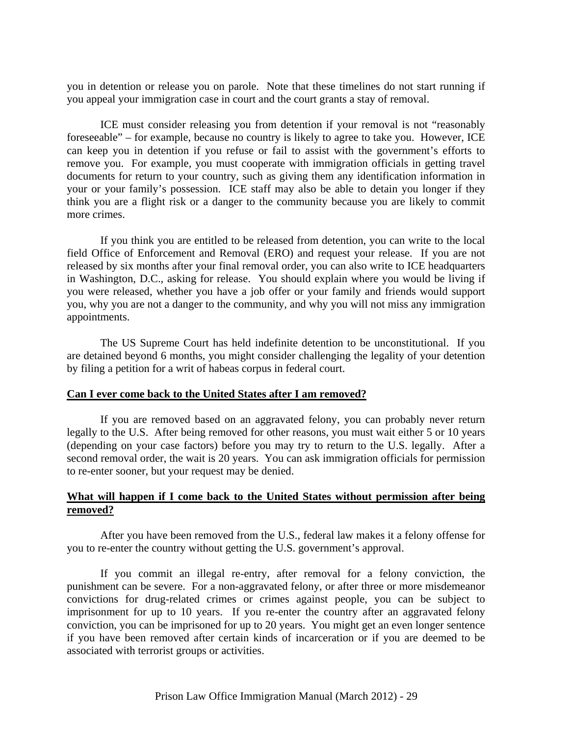you in detention or release you on parole. Note that these timelines do not start running if you appeal your immigration case in court and the court grants a stay of removal.

 ICE must consider releasing you from detention if your removal is not "reasonably foreseeable" – for example, because no country is likely to agree to take you. However, ICE can keep you in detention if you refuse or fail to assist with the government's efforts to remove you. For example, you must cooperate with immigration officials in getting travel documents for return to your country, such as giving them any identification information in your or your family's possession. ICE staff may also be able to detain you longer if they think you are a flight risk or a danger to the community because you are likely to commit more crimes.

 If you think you are entitled to be released from detention, you can write to the local field Office of Enforcement and Removal (ERO) and request your release. If you are not released by six months after your final removal order, you can also write to ICE headquarters in Washington, D.C., asking for release. You should explain where you would be living if you were released, whether you have a job offer or your family and friends would support you, why you are not a danger to the community, and why you will not miss any immigration appointments.

 The US Supreme Court has held indefinite detention to be unconstitutional. If you are detained beyond 6 months, you might consider challenging the legality of your detention by filing a petition for a writ of habeas corpus in federal court.

#### **Can I ever come back to the United States after I am removed?**

 If you are removed based on an aggravated felony, you can probably never return legally to the U.S. After being removed for other reasons, you must wait either 5 or 10 years (depending on your case factors) before you may try to return to the U.S. legally. After a second removal order, the wait is 20 years. You can ask immigration officials for permission to re-enter sooner, but your request may be denied.

## **What will happen if I come back to the United States without permission after being removed?**

 After you have been removed from the U.S., federal law makes it a felony offense for you to re-enter the country without getting the U.S. government's approval.

 If you commit an illegal re-entry, after removal for a felony conviction, the punishment can be severe. For a non-aggravated felony, or after three or more misdemeanor convictions for drug-related crimes or crimes against people, you can be subject to imprisonment for up to 10 years. If you re-enter the country after an aggravated felony conviction, you can be imprisoned for up to 20 years. You might get an even longer sentence if you have been removed after certain kinds of incarceration or if you are deemed to be associated with terrorist groups or activities.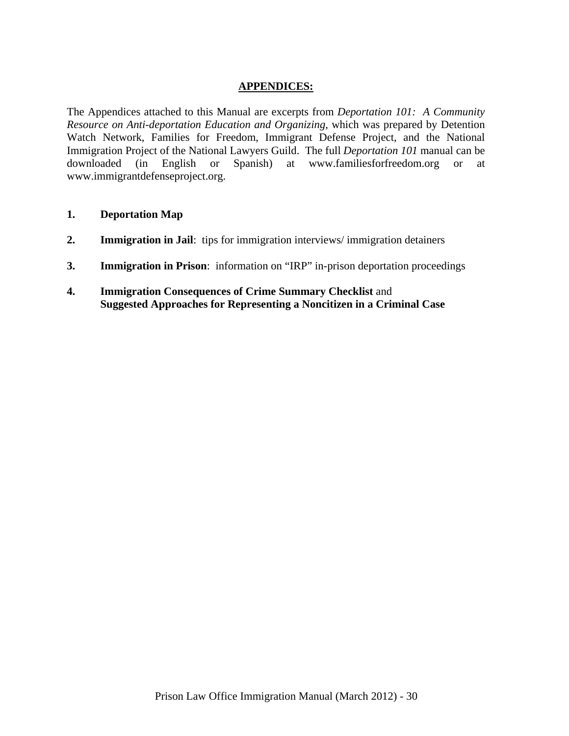## **APPENDICES:**

The Appendices attached to this Manual are excerpts from *Deportation 101: A Community Resource on Anti-deportation Education and Organizing*, which was prepared by Detention Watch Network, Families for Freedom, Immigrant Defense Project, and the National Immigration Project of the National Lawyers Guild. The full *Deportation 101* manual can be downloaded (in English or Spanish) at www.familiesforfreedom.org or at www.immigrantdefenseproject.org.

## **1. Deportation Map**

- **2. Immigration in Jail**: tips for immigration interviews/ immigration detainers
- **3. Immigration in Prison**: information on "IRP" in-prison deportation proceedings
- **4. Immigration Consequences of Crime Summary Checklist** and  **Suggested Approaches for Representing a Noncitizen in a Criminal Case**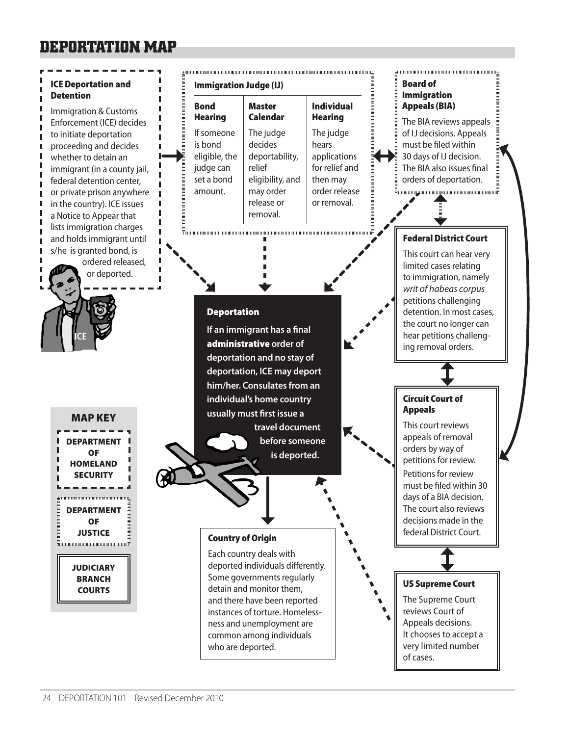# **DEPORTATION MAP**

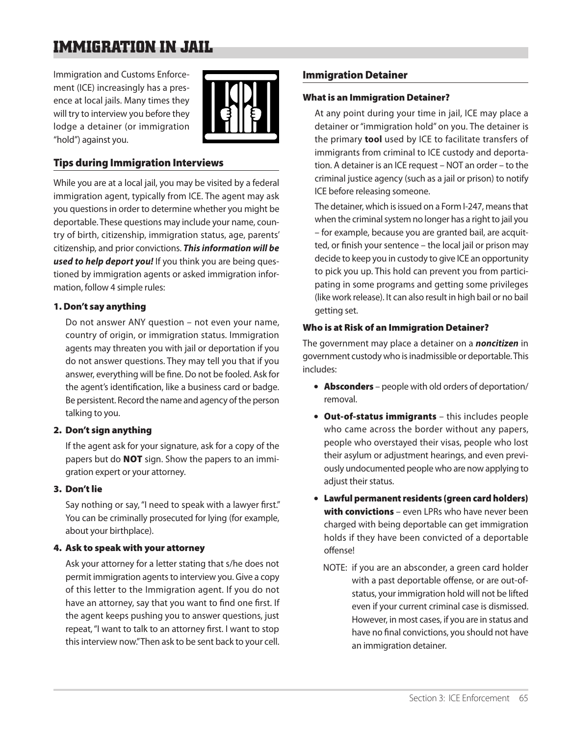# **IMMIGRATION IN JAIL**

Immigration and Customs Enforcement (ICE) increasingly has a presence at local jails. Many times they will try to interview you before they lodge a detainer (or immigration "hold") against you.



## Tips during Immigration Interviews

While you are at a local jail, you may be visited by a federal immigration agent, typically from ICE. The agent may ask you questions in order to determine whether you might be deportable. These questions may include your name, country of birth, citizenship, immigration status, age, parents' citizenship, and prior convictions. *This information will be used to help deport you!* If you think you are being questioned by immigration agents or asked immigration information, follow 4 simple rules:

#### 1. Don't say anything

Do not answer ANY question – not even your name, country of origin, or immigration status. Immigration agents may threaten you with jail or deportation if you do not answer questions. They may tell you that if you answer, everything will be fine. Do not be fooled. Ask for the agent's identification, like a business card or badge. Be persistent. Record the name and agency of the person talking to you.

#### 2. Don't sign anything

If the agent ask for your signature, ask for a copy of the papers but do **NOT** sign. Show the papers to an immigration expert or your attorney.

## 3. Don't lie

Say nothing or say, "I need to speak with a lawyer first." You can be criminally prosecuted for lying (for example, about your birthplace).

#### 4. Ask to speak with your attorney

Ask your attorney for a letter stating that s/he does not permit immigration agents to interview you. Give a copy of this letter to the Immigration agent. If you do not have an attorney, say that you want to find one first. If the agent keeps pushing you to answer questions, just repeat, "I want to talk to an attorney first. I want to stop this interview now." Then ask to be sent back to your cell.

## Immigration Detainer

#### What is an Immigration Detainer?

At any point during your time in jail, ICE may place a detainer or "immigration hold" on you. The detainer is the primary **tool** used by ICE to facilitate transfers of immigrants from criminal to ICE custody and deportation. A detainer is an ICE request – NOT an order – to the criminal justice agency (such as a jail or prison) to notify ICE before releasing someone.

The detainer, which is issued on a Form I-247, means that when the criminal system no longer has a right to jail you – for example, because you are granted bail, are acquitted, or finish your sentence – the local jail or prison may decide to keep you in custody to give ICE an opportunity to pick you up. This hold can prevent you from participating in some programs and getting some privileges (like work release). It can also result in high bail or no bail getting set.

#### Who is at Risk of an Immigration Detainer?

The government may place a detainer on a *noncitizen* in government custody who is inadmissible or deportable. This includes:

- Absconders people with old orders of deportation/ removal.
- Out-of-status immigrants this includes people who came across the border without any papers, people who overstayed their visas, people who lost their asylum or adjustment hearings, and even previously undocumented people who are now applying to adjust their status.
- Lawful permanent residents (green card holders) with convictions - even LPRs who have never been charged with being deportable can get immigration holds if they have been convicted of a deportable offense!
	- NOTE: if you are an absconder, a green card holder with a past deportable offense, or are out-ofstatus, your immigration hold will not be lifted even if your current criminal case is dismissed. However, in most cases, if you are in status and have no final convictions, you should not have an immigration detainer.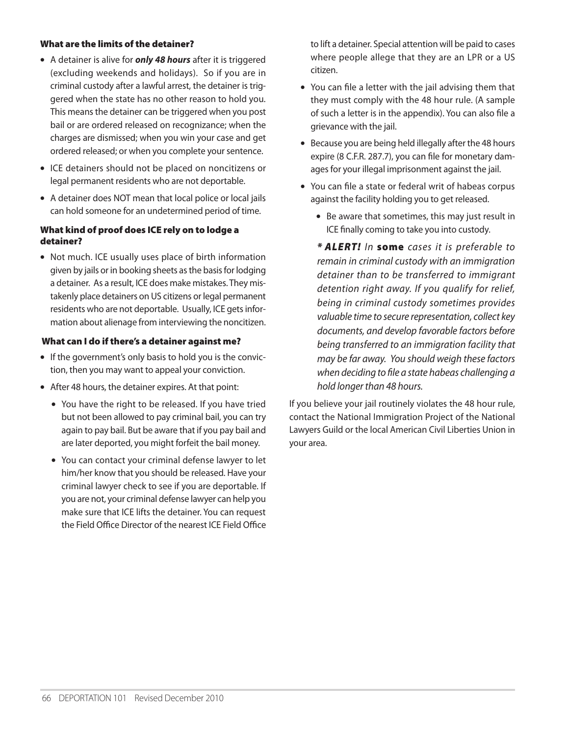#### What are the limits of the detainer?

- A detainer is alive for *only 48 hours* after it is triggered (excluding weekends and holidays). So if you are in criminal custody after a lawful arrest, the detainer is triggered when the state has no other reason to hold you. This means the detainer can be triggered when you post bail or are ordered released on recognizance; when the charges are dismissed; when you win your case and get ordered released; or when you complete your sentence.
- ICE detainers should not be placed on noncitizens or legal permanent residents who are not deportable.
- A detainer does NOT mean that local police or local jails can hold someone for an undetermined period of time.

#### What kind of proof does ICE rely on to lodge a detainer?

• Not much. ICE usually uses place of birth information given by jails or in booking sheets as the basis for lodging a detainer. As a result, ICE does make mistakes. They mistakenly place detainers on US citizens or legal permanent residents who are not deportable. Usually, ICE gets information about alienage from interviewing the noncitizen.

#### What can I do if there's a detainer against me?

- If the government's only basis to hold you is the conviction, then you may want to appeal your conviction.
- After 48 hours, the detainer expires. At that point:
	- You have the right to be released. If you have tried but not been allowed to pay criminal bail, you can try again to pay bail. But be aware that if you pay bail and are later deported, you might forfeit the bail money.
	- You can contact your criminal defense lawyer to let him/her know that you should be released. Have your criminal lawyer check to see if you are deportable. If you are not, your criminal defense lawyer can help you make sure that ICE lifts the detainer. You can request the Field Office Director of the nearest ICE Field Office

to lift a detainer. Special attention will be paid to cases where people allege that they are an LPR or a US citizen.

- You can file a letter with the jail advising them that they must comply with the 48 hour rule. (A sample of such a letter is in the appendix). You can also file a grievance with the jail.
- Because you are being held illegally after the 48 hours expire (8 C.F.R. 287.7), you can file for monetary damages for your illegal imprisonment against the jail.
- You can file a state or federal writ of habeas corpus against the facility holding you to get released.
	- Be aware that sometimes, this may just result in ICE finally coming to take you into custody.

*\* ALERT! In* some *cases it is preferable to remain in criminal custody with an immigration detainer than to be transferred to immigrant detention right away. If you qualify for relief, being in criminal custody sometimes provides valuable time to secure representation, collect key documents, and develop favorable factors before being transferred to an immigration facility that may be far away. You should weigh these factors when deciding to file a state habeas challenging a hold longer than 48 hours.*

If you believe your jail routinely violates the 48 hour rule, contact the National Immigration Project of the National Lawyers Guild or the local American Civil Liberties Union in your area.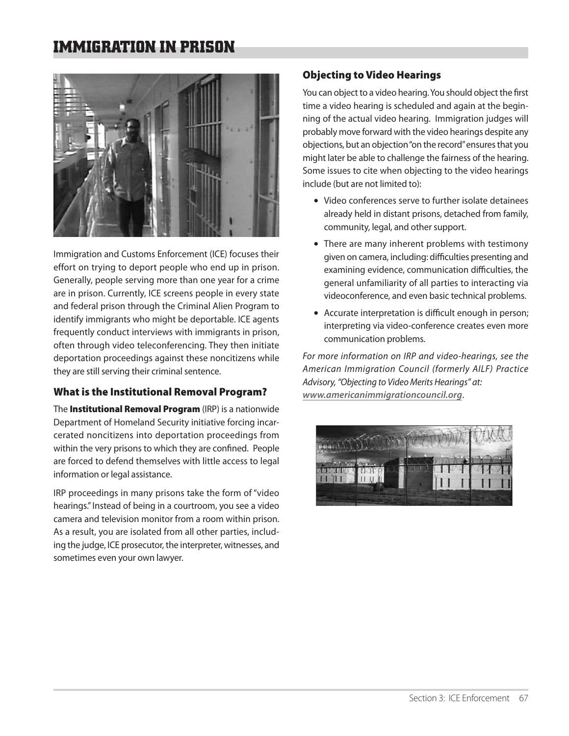# **IMMIGRATION IN PRISON**



Immigration and Customs Enforcement (ICE) focuses their effort on trying to deport people who end up in prison. Generally, people serving more than one year for a crime are in prison. Currently, ICE screens people in every state and federal prison through the Criminal Alien Program to identify immigrants who might be deportable. ICE agents frequently conduct interviews with immigrants in prison, often through video teleconferencing. They then initiate deportation proceedings against these noncitizens while they are still serving their criminal sentence.

# What is the Institutional Removal Program?

The **Institutional Removal Program** (IRP) is a nationwide Department of Homeland Security initiative forcing incarcerated noncitizens into deportation proceedings from within the very prisons to which they are confined. People are forced to defend themselves with little access to legal information or legal assistance.

IRP proceedings in many prisons take the form of "video hearings." Instead of being in a courtroom, you see a video camera and television monitor from a room within prison. As a result, you are isolated from all other parties, including the judge, ICE prosecutor, the interpreter, witnesses, and sometimes even your own lawyer.

# Objecting to Video Hearings

You can object to a video hearing. You should object the first time a video hearing is scheduled and again at the beginning of the actual video hearing. Immigration judges will probably move forward with the video hearings despite any objections, but an objection "on the record" ensures that you might later be able to challenge the fairness of the hearing. Some issues to cite when objecting to the video hearings include (but are not limited to):

- Video conferences serve to further isolate detainees already held in distant prisons, detached from family, community, legal, and other support.
- There are many inherent problems with testimony given on camera, including: difficulties presenting and examining evidence, communication difficulties, the general unfamiliarity of all parties to interacting via videoconference, and even basic technical problems.
- Accurate interpretation is difficult enough in person; interpreting via video-conference creates even more communication problems.

*For more information on IRP and video-hearings, see the American Immigration Council (formerly AILF) Practice Advisory, "Objecting to Video Merits Hearings" at: www.americanimmigrationcouncil.org*.

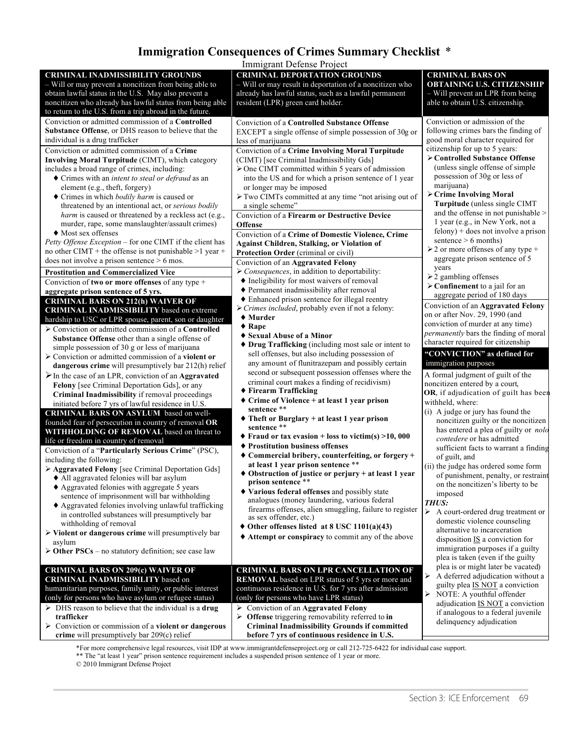# **Immigration Consequences of Crimes Summary Checklist** \*

| Immigrant Defense Project                                                                                                                                                                                                            |                                                                                                                                                                                                                |                                                                                                                                                |  |  |  |  |
|--------------------------------------------------------------------------------------------------------------------------------------------------------------------------------------------------------------------------------------|----------------------------------------------------------------------------------------------------------------------------------------------------------------------------------------------------------------|------------------------------------------------------------------------------------------------------------------------------------------------|--|--|--|--|
| <b>CRIMINAL INADMISSIBILITY GROUNDS</b><br>- Will or may prevent a noncitizen from being able to<br>obtain lawful status in the U.S. May also prevent a<br>noncitizen who already has lawful status from being able                  | <b>CRIMINAL DEPORTATION GROUNDS</b><br>- Will or may result in deportation of a noncitizen who<br>already has lawful status, such as a lawful permanent<br>resident (LPR) green card holder.                   | <b>CRIMINAL BARS ON</b><br><b>OBTAINING U.S. CITIZENSHIP</b><br>- Will prevent an LPR from being<br>able to obtain U.S. citizenship.           |  |  |  |  |
| to return to the U.S. from a trip abroad in the future.<br>Conviction or admitted commission of a Controlled<br>Substance Offense, or DHS reason to believe that the                                                                 | <b>Conviction of a Controlled Substance Offense</b><br>EXCEPT a single offense of simple possession of 30g or                                                                                                  | Conviction or admission of the<br>following crimes bars the finding of                                                                         |  |  |  |  |
| individual is a drug trafficker<br>Conviction or admitted commission of a Crime<br>Involving Moral Turpitude (CIMT), which category                                                                                                  | less of marijuana<br>Conviction of a Crime Involving Moral Turpitude<br>(CIMT) [see Criminal Inadmissibility Gds]                                                                                              | good moral character required for<br>citizenship for up to 5 years:<br>> Controlled Substance Offense                                          |  |  |  |  |
| includes a broad range of crimes, including:<br>♦ Crimes with an <i>intent to steal or defraud</i> as an<br>element (e.g., theft, forgery)                                                                                           | $\triangleright$ One CIMT committed within 5 years of admission<br>into the US and for which a prison sentence of 1 year<br>or longer may be imposed                                                           | (unless single offense of simple<br>possession of 30g or less of<br>marijuana)                                                                 |  |  |  |  |
| ◆ Crimes in which <i>bodily harm</i> is caused or<br>threatened by an intentional act, or serious bodily<br>harm is caused or threatened by a reckless act (e.g.,                                                                    | $\triangleright$ Two CIMTs committed at any time "not arising out of<br>a single scheme"<br>Conviction of a Firearm or Destructive Device                                                                      | > Crime Involving Moral<br>Turpitude (unless single CIMT<br>and the offense in not punishable >                                                |  |  |  |  |
| murder, rape, some manslaughter/assault crimes)<br>◆ Most sex offenses<br>Petty Offense Exception - for one CIMT if the client has<br>no other CIMT + the offense is not punishable >1 year +                                        | <b>Offense</b><br>Conviction of a Crime of Domestic Violence, Crime<br><b>Against Children, Stalking, or Violation of</b>                                                                                      | 1 year (e.g., in New York, not a<br>$felong) + does not involve a prison$<br>sentence $> 6$ months)<br>$\geq$ 2 or more offenses of any type + |  |  |  |  |
| does not involve a prison sentence $> 6$ mos.<br><b>Prostitution and Commercialized Vice</b>                                                                                                                                         | Protection Order (criminal or civil)<br>Conviction of an Aggravated Felony<br>$\triangleright$ Consequences, in addition to deportability:                                                                     | aggregate prison sentence of 5<br>years<br>$\geq$ 2 gambling offenses                                                                          |  |  |  |  |
| Conviction of two or more offenses of any type $+$<br>aggregate prison sentence of 5 yrs.<br><b>CRIMINAL BARS ON 212(h) WAIVER OF</b>                                                                                                | • Ineligibility for most waivers of removal<br>♦ Permanent inadmissibility after removal<br>◆ Enhanced prison sentence for illegal reentry<br>$\triangleright$ Crimes included, probably even if not a felony: | $\triangleright$ Confinement to a jail for an<br>aggregate period of 180 days<br>Conviction of an Aggravated Felony                            |  |  |  |  |
| <b>CRIMINAL INADMISSIBILITY</b> based on extreme<br>hardship to USC or LPR spouse, parent, son or daughter<br>$\triangleright$ Conviction or admitted commission of a Controlled<br>Substance Offense other than a single offense of | $\blacklozenge$ Murder<br>$\triangle$ Rape<br>◆ Sexual Abuse of a Minor                                                                                                                                        | on or after Nov. 29, 1990 (and<br>conviction of murder at any time)<br>permanently bars the finding of moral                                   |  |  |  |  |
| simple possession of 30 g or less of marijuana<br>$\triangleright$ Conviction or admitted commission of a violent or<br>dangerous crime will presumptively bar 212(h) relief                                                         | ♦ Drug Trafficking (including most sale or intent to<br>sell offenses, but also including possession of<br>any amount of flunitrazepam and possibly certain                                                    | character required for citizenship<br>"CONVICTION" as defined for<br>immigration purposes                                                      |  |  |  |  |
| $\triangleright$ In the case of an LPR, conviction of an <b>Aggravated</b><br>Felony [see Criminal Deportation Gds], or any<br>Criminal Inadmissibility if removal proceedings                                                       | second or subsequent possession offenses where the<br>criminal court makes a finding of recidivism)<br>♦ Firearm Trafficking                                                                                   | A formal judgment of guilt of the<br>noncitizen entered by a court,<br>OR, if adjudication of guilt has been                                   |  |  |  |  |
| initiated before 7 yrs of lawful residence in U.S.<br>CRIMINAL BARS ON ASYLUM based on well-<br>founded fear of persecution in country of removal OR                                                                                 | ◆ Crime of Violence + at least 1 year prison<br>sentence **<br>$\blacklozenge$ Theft or Burglary + at least 1 year prison<br>sentence **                                                                       | withheld, where:<br>(i) A judge or jury has found the<br>noncitizen guilty or the noncitizen<br>has entered a plea of guilty or <i>nolo</i>    |  |  |  |  |
| WITHHOLDING OF REMOVAL based on threat to<br>life or freedom in country of removal<br>Conviction of a "Particularly Serious Crime" (PSC),<br>including the following:                                                                | $\blacklozenge$ Fraud or tax evasion + loss to victim(s) >10, 000<br>◆ Prostitution business offenses<br>◆ Commercial bribery, counterfeiting, or forgery +                                                    | contedere or has admitted<br>sufficient facts to warrant a finding<br>of guilt, and                                                            |  |  |  |  |
| > Aggravated Felony [see Criminal Deportation Gds]<br>• All aggravated felonies will bar asylum<br>◆ Aggravated felonies with aggregate 5 years                                                                                      | at least 1 year prison sentence **<br>$\bullet$ Obstruction of justice or perjury + at least 1 year<br>prison sentence**                                                                                       | (ii) the judge has ordered some form<br>of punishment, penalty, or restraint<br>on the noncitizen's liberty to be                              |  |  |  |  |
| sentence of imprisonment will bar withholding<br>♦ Aggravated felonies involving unlawful trafficking<br>in controlled substances will presumptively bar                                                                             | ◆ Various federal offenses and possibly state<br>analogues (money laundering, various federal<br>firearms offenses, alien smuggling, failure to register<br>as sex offender, etc.)                             | imposed<br>THUS:<br>A court-ordered drug treatment or<br>⋗                                                                                     |  |  |  |  |
| withholding of removal<br>$\triangleright$ Violent or dangerous crime will presumptively bar<br>asylum                                                                                                                               | $\blacklozenge$ Other offenses listed at 8 USC 1101(a)(43)<br>♦ Attempt or conspiracy to commit any of the above                                                                                               | domestic violence counseling<br>alternative to incarceration<br>disposition $IS$ a conviction for<br>immigration purposes if a guilty          |  |  |  |  |
| $\triangleright$ Other PSCs – no statutory definition; see case law<br><b>CRIMINAL BARS ON 209(c) WAIVER OF</b><br><b>CRIMINAL INADMISSIBILITY</b> based on                                                                          | <b>CRIMINAL BARS ON LPR CANCELLATION OF</b><br>REMOVAL based on LPR status of 5 yrs or more and                                                                                                                | plea is taken (even if the guilty<br>plea is or might later be vacated)<br>⋗<br>A deferred adjudication without a                              |  |  |  |  |
| humanitarian purposes, family unity, or public interest<br>(only for persons who have asylum or refugee status)<br>$\triangleright$ DHS reason to believe that the individual is a drug                                              | continuous residence in U.S. for 7 yrs after admission<br>(only for persons who have LPR status)<br>$\triangleright$ Conviction of an Aggravated Felony                                                        | guilty plea <b>IS NOT</b> a conviction<br>$\blacktriangleright$<br>NOTE: A youthful offender<br>adjudication IS NOT a conviction               |  |  |  |  |
| trafficker<br>$\triangleright$ Conviction or commission of a violent or dangerous                                                                                                                                                    | $\triangleright$ Offense triggering removability referred to in<br><b>Criminal Inadmissibility Grounds if committed</b>                                                                                        | if analogous to a federal juvenile<br>delinquency adjudication                                                                                 |  |  |  |  |

\*\* The "at least 1 year" prison sentence requirement includes a suspended prison sentence of 1 year or more. \*For more comprehensive legal resources, visit IDP at www.immigrantdefenseproject.org or call 212-725-6422 for individual case support.

**before 7 yrs of continuous residence in U.S.**

© 2010 Immigrant Defense Project

**crime** will presumptively bar 209(c) relief